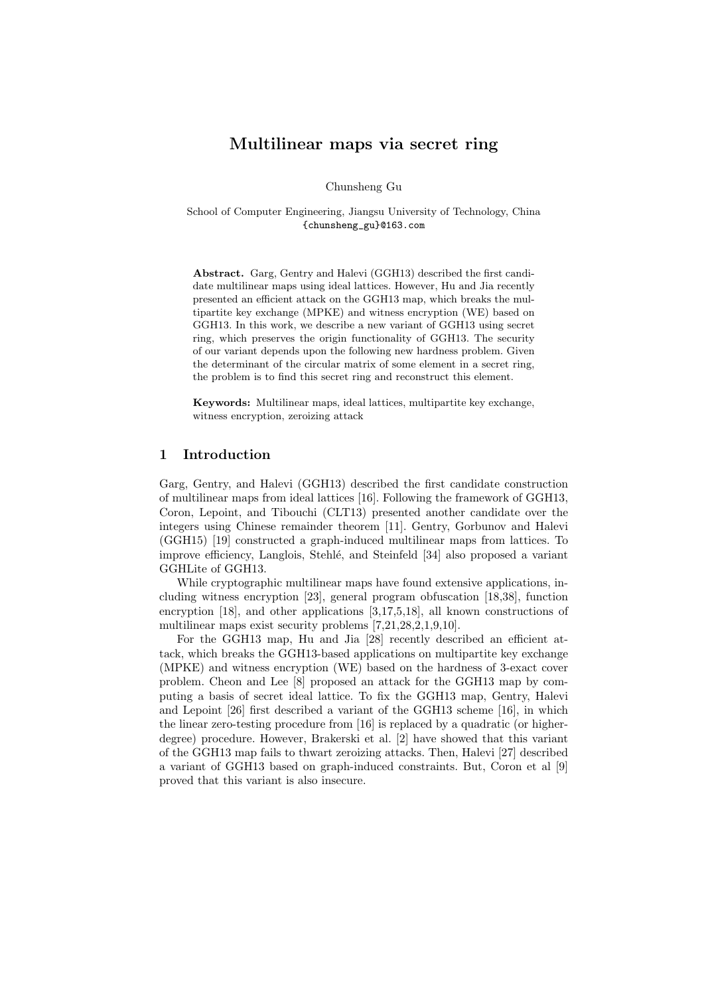# Multilinear maps via secret ring

Chunsheng Gu

School of Computer Engineering, Jiangsu University of Technology, China {chunsheng\_gu}@163.com

Abstract. Garg, Gentry and Halevi (GGH13) described the first candidate multilinear maps using ideal lattices. However, Hu and Jia recently presented an efficient attack on the GGH13 map, which breaks the multipartite key exchange (MPKE) and witness encryption (WE) based on GGH13. In this work, we describe a new variant of GGH13 using secret ring, which preserves the origin functionality of GGH13. The security of our variant depends upon the following new hardness problem. Given the determinant of the circular matrix of some element in a secret ring, the problem is to find this secret ring and reconstruct this element.

Keywords: Multilinear maps, ideal lattices, multipartite key exchange, witness encryption, zeroizing attack

## 1 Introduction

Garg, Gentry, and Halevi (GGH13) described the first candidate construction of multilinear maps from ideal lattices [\[16\]](#page-17-0). Following the framework of GGH13, Coron, Lepoint, and Tibouchi (CLT13) presented another candidate over the integers using Chinese remainder theorem [\[11\]](#page-17-1). Gentry, Gorbunov and Halevi (GGH15) [\[19\]](#page-17-2) constructed a graph-induced multilinear maps from lattices. To improve efficiency, Langlois, Stehlé, and Steinfeld [\[34\]](#page-18-0) also proposed a variant GGHLite of GGH13.

While cryptographic multilinear maps have found extensive applications, including witness encryption [\[23\]](#page-17-3), general program obfuscation [\[18,](#page-17-4)[38\]](#page-18-1), function encryption [\[18\]](#page-17-4), and other applications [\[3,](#page-16-0)[17,](#page-17-5)[5,](#page-16-1)[18\]](#page-17-4), all known constructions of multilinear maps exist security problems [\[7,](#page-17-6)[21](#page-17-7)[,28,](#page-17-8)[2,](#page-16-2)[1,](#page-16-3)[9](#page-17-9)[,10\]](#page-17-10).

For the GGH13 map, Hu and Jia [\[28\]](#page-17-8) recently described an efficient attack, which breaks the GGH13-based applications on multipartite key exchange (MPKE) and witness encryption (WE) based on the hardness of 3-exact cover problem. Cheon and Lee [\[8\]](#page-17-11) proposed an attack for the GGH13 map by computing a basis of secret ideal lattice. To fix the GGH13 map, Gentry, Halevi and Lepoint [\[26\]](#page-17-12) first described a variant of the GGH13 scheme [\[16\]](#page-17-0), in which the linear zero-testing procedure from [\[16\]](#page-17-0) is replaced by a quadratic (or higherdegree) procedure. However, Brakerski et al. [\[2\]](#page-16-2) have showed that this variant of the GGH13 map fails to thwart zeroizing attacks. Then, Halevi [\[27\]](#page-17-13) described a variant of GGH13 based on graph-induced constraints. But, Coron et al [\[9\]](#page-17-9) proved that this variant is also insecure.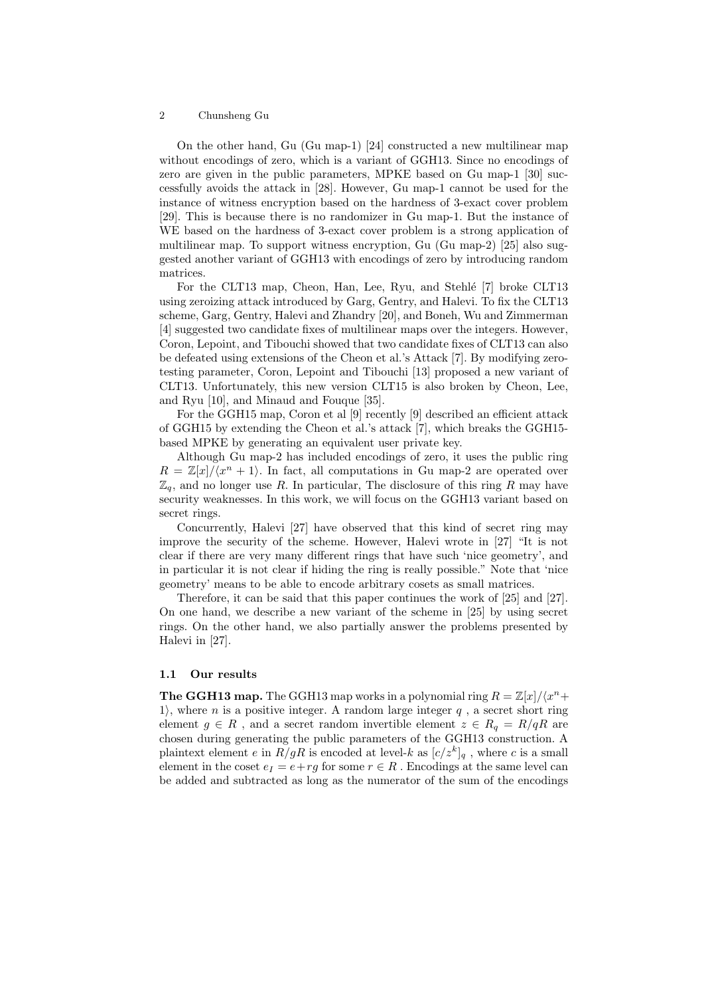On the other hand, Gu (Gu map-1) [\[24\]](#page-17-14) constructed a new multilinear map without encodings of zero, which is a variant of GGH13. Since no encodings of zero are given in the public parameters, MPKE based on Gu map-1 [\[30\]](#page-18-2) successfully avoids the attack in [\[28\]](#page-17-8). However, Gu map-1 cannot be used for the instance of witness encryption based on the hardness of 3-exact cover problem [\[29\]](#page-17-15). This is because there is no randomizer in Gu map-1. But the instance of WE based on the hardness of 3-exact cover problem is a strong application of multilinear map. To support witness encryption, Gu (Gu map-2) [\[25\]](#page-17-16) also suggested another variant of GGH13 with encodings of zero by introducing random matrices.

For the CLT13 map, Cheon, Han, Lee, Ryu, and Stehl´e [\[7\]](#page-17-6) broke CLT13 using zeroizing attack introduced by Garg, Gentry, and Halevi. To fix the CLT13 scheme, Garg, Gentry, Halevi and Zhandry [\[20\]](#page-17-17), and Boneh, Wu and Zimmerman [\[4\]](#page-16-4) suggested two candidate fixes of multilinear maps over the integers. However, Coron, Lepoint, and Tibouchi showed that two candidate fixes of CLT13 can also be defeated using extensions of the Cheon et al.'s Attack [\[7\]](#page-17-6). By modifying zerotesting parameter, Coron, Lepoint and Tibouchi [\[13\]](#page-17-18) proposed a new variant of CLT13. Unfortunately, this new version CLT15 is also broken by Cheon, Lee, and Ryu [\[10\]](#page-17-10), and Minaud and Fouque [\[35\]](#page-18-3).

For the GGH15 map, Coron et al [\[9\]](#page-17-9) recently [\[9\]](#page-17-9) described an efficient attack of GGH15 by extending the Cheon et al.'s attack [\[7\]](#page-17-6), which breaks the GGH15 based MPKE by generating an equivalent user private key.

Although Gu map-2 has included encodings of zero, it uses the public ring  $R = \mathbb{Z}[x]/\langle x^n + 1 \rangle$ . In fact, all computations in Gu map-2 are operated over  $\mathbb{Z}_q$ , and no longer use R. In particular, The disclosure of this ring R may have security weaknesses. In this work, we will focus on the GGH13 variant based on secret rings.

Concurrently, Halevi [\[27\]](#page-17-13) have observed that this kind of secret ring may improve the security of the scheme. However, Halevi wrote in [\[27\]](#page-17-13) "It is not clear if there are very many different rings that have such 'nice geometry', and in particular it is not clear if hiding the ring is really possible." Note that 'nice geometry' means to be able to encode arbitrary cosets as small matrices.

Therefore, it can be said that this paper continues the work of [\[25\]](#page-17-16) and [\[27\]](#page-17-13). On one hand, we describe a new variant of the scheme in [\[25\]](#page-17-16) by using secret rings. On the other hand, we also partially answer the problems presented by Halevi in [\[27\]](#page-17-13).

### 1.1 Our results

**The GGH13 map.** The GGH13 map works in a polynomial ring  $R = \mathbb{Z}[x]/\langle x^n +$ 1), where *n* is a positive integer. A random large integer  $q$ , a secret short ring element  $g \in R$ , and a secret random invertible element  $z \in R_q = R/qR$  are chosen during generating the public parameters of the GGH13 construction. A plaintext element e in  $R/gR$  is encoded at level-k as  $[c/z<sup>k</sup>]_q$ , where c is a small element in the coset  $e_I = e + rg$  for some  $r \in R$ . Encodings at the same level can be added and subtracted as long as the numerator of the sum of the encodings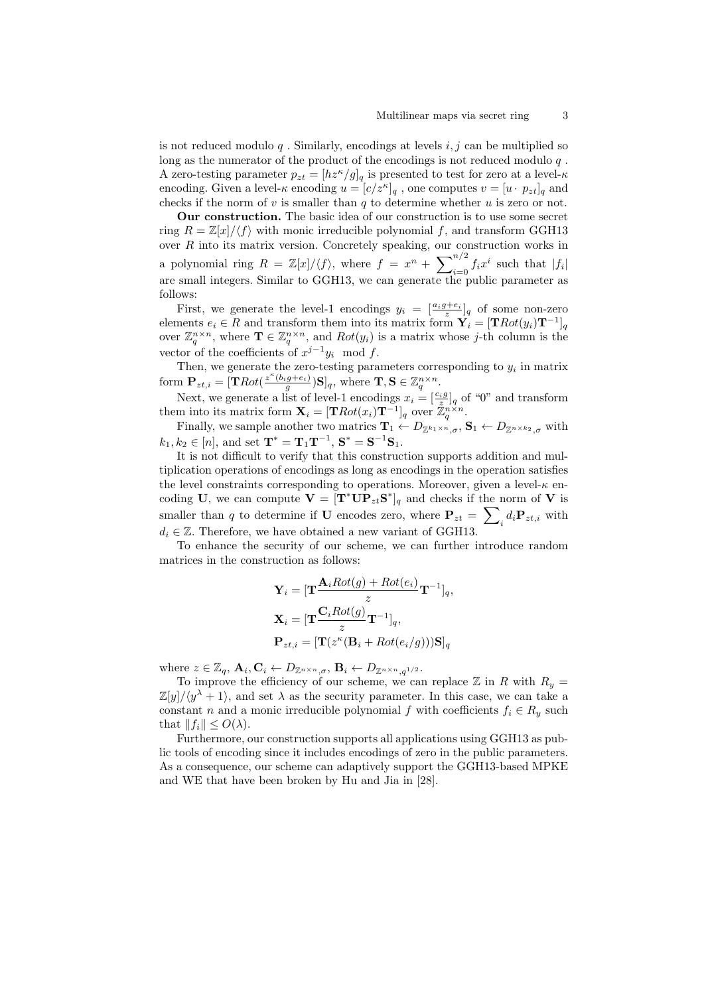is not reduced modulo  $q$ . Similarly, encodings at levels  $i, j$  can be multiplied so long as the numerator of the product of the encodings is not reduced modulo  $q$ . A zero-testing parameter  $p_{zt} = [hz^{\kappa}/g]_q$  is presented to test for zero at a level- $\kappa$ encoding. Given a level- $\kappa$  encoding  $u = [c/z^{\kappa}]_q$ , one computes  $v = [u \cdot p_{zt}]_q$  and checks if the norm of  $v$  is smaller than  $q$  to determine whether  $u$  is zero or not.

Our construction. The basic idea of our construction is to use some secret ring  $R = \mathbb{Z}[x]/\langle f \rangle$  with monic irreducible polynomial f, and transform GGH13 over R into its matrix version. Concretely speaking, our construction works in a polynomial ring  $R = \mathbb{Z}[x]/\langle f \rangle$ , where  $f = x^n + \sum_{i=0}^{n/2} f_i x^i$  such that  $|f_i|$ are small integers. Similar to GGH13, we can generate the public parameter as follows:

First, we generate the level-1 encodings  $y_i = \left[\frac{a_i g + e_i}{z}\right]_q$  of some non-zero elements  $e_i \in R$  and transform them into its matrix form  $\mathbf{Y}_i = [\mathbf{T} Rot(y_i)\mathbf{T}^{-1}]_q$ over  $\mathbb{Z}_q^{n \times n}$ , where  $\mathbf{T} \in \mathbb{Z}_q^{n \times n}$ , and  $Rot(y_i)$  is a matrix whose j-th column is the vector of the coefficients of  $x^{j-1}y_i \mod f$ .

Then, we generate the zero-testing parameters corresponding to  $y_i$  in matrix form  $\mathbf{P}_{zt,i} = [\mathbf{T}Rot(\frac{z^{\kappa}(b_ig+e_i)}{g})\mathbf{S}]_q$ , where  $\mathbf{T}, \mathbf{S} \in \mathbb{Z}_q^{n \times n}$ .

Next, we generate a list of level-1 encodings  $x_i = \left[\frac{c_i g}{z}\right]_q$  of "0" and transform them into its matrix form  $\mathbf{X}_i = [\mathbf{T} Rot(x_i)\mathbf{T}^{-1}]_q$  over  $\mathbb{Z}_q^{n \times n}$ .

Finally, we sample another two matrics  $\mathbf{T}_1 \leftarrow D_{\mathbb{Z}^{k_1 \times n}, \sigma}, \mathbf{S}_1 \leftarrow D_{\mathbb{Z}^{n \times k_2}, \sigma}$  with  $k_1, k_2 \in [n]$ , and set  $\mathbf{T}^* = \mathbf{T}_1 \mathbf{T}^{-1}$ ,  $\mathbf{S}^* = \mathbf{S}^{-1} \mathbf{S}_1$ .

It is not difficult to verify that this construction supports addition and multiplication operations of encodings as long as encodings in the operation satisfies the level constraints corresponding to operations. Moreover, given a level- $\kappa$  encoding U, we can compute  $\mathbf{V} = [\mathbf{T}^* \mathbf{U} \mathbf{P}_{zt} \mathbf{S}^*]_q$  and checks if the norm of V is smaller than q to determine if **U** encodes zero, where  $P_{zt} = \sum_i d_i P_{zt,i}$  with  $d_i \in \mathbb{Z}$ . Therefore, we have obtained a new variant of GGH13.

To enhance the security of our scheme, we can further introduce random matrices in the construction as follows:

$$
\mathbf{Y}_{i} = [\mathbf{T} \frac{\mathbf{A}_{i} Rot(g) + Rot(e_{i})}{z} \mathbf{T}^{-1}]_{q},
$$
  
\n
$$
\mathbf{X}_{i} = [\mathbf{T} \frac{\mathbf{C}_{i}Rot(g)}{z} \mathbf{T}^{-1}]_{q},
$$
  
\n
$$
\mathbf{P}_{zt,i} = [\mathbf{T}(z^{\kappa}(\mathbf{B}_{i} + Rot(e_{i}/g)))\mathbf{S}]_{q}
$$

where  $z \in \mathbb{Z}_q$ ,  $\mathbf{A}_i$ ,  $\mathbf{C}_i \leftarrow D_{\mathbb{Z}^{n \times n}, \sigma}$ ,  $\mathbf{B}_i \leftarrow D_{\mathbb{Z}^{n \times n}, q^{1/2}}$ .

To improve the efficiency of our scheme, we can replace  $\mathbb Z$  in R with  $R_y =$  $\mathbb{Z}[y]/\langle y^{\lambda} + 1 \rangle$ , and set  $\lambda$  as the security parameter. In this case, we can take a constant n and a monic irreducible polynomial f with coefficients  $f_i \in R_y$  such that  $||f_i|| \leq O(\lambda)$ .

Furthermore, our construction supports all applications using GGH13 as public tools of encoding since it includes encodings of zero in the public parameters. As a consequence, our scheme can adaptively support the GGH13-based MPKE and WE that have been broken by Hu and Jia in [\[28\]](#page-17-8).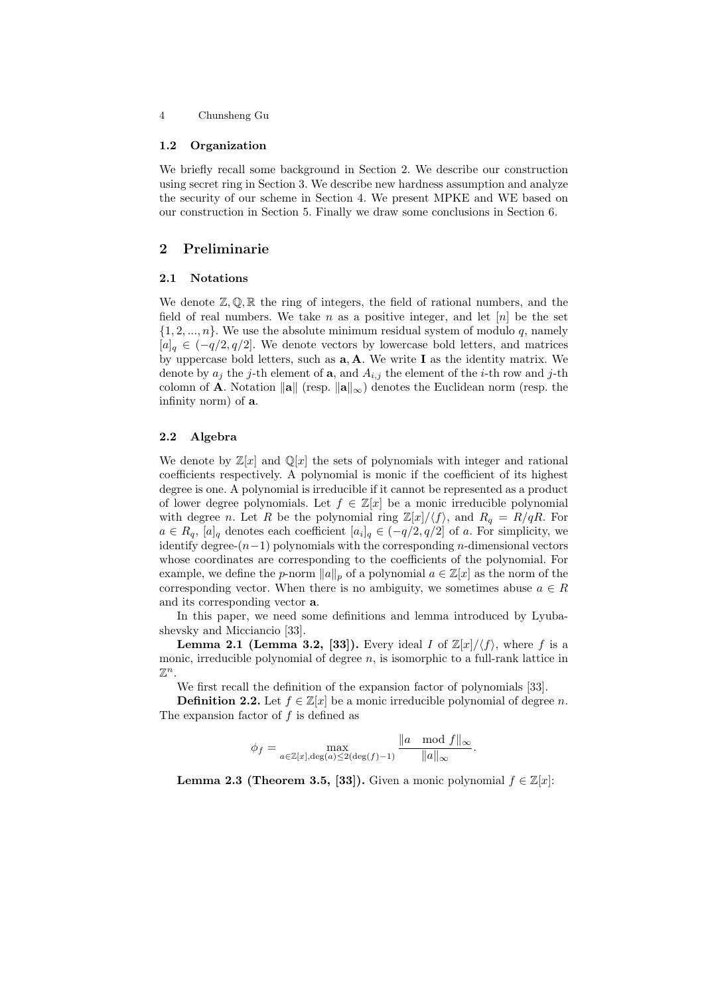#### 1.2 Organization

We briefly recall some background in Section 2. We describe our construction using secret ring in Section 3. We describe new hardness assumption and analyze the security of our scheme in Section 4. We present MPKE and WE based on our construction in Section 5. Finally we draw some conclusions in Section 6.

## 2 Preliminarie

#### 2.1 Notations

We denote  $\mathbb{Z}, \mathbb{Q}, \mathbb{R}$  the ring of integers, the field of rational numbers, and the field of real numbers. We take n as a positive integer, and let  $[n]$  be the set  $\{1, 2, ..., n\}$ . We use the absolute minimum residual system of modulo q, namely  $[a]_q \in (-q/2, q/2]$ . We denote vectors by lowercase bold letters, and matrices by uppercase bold letters, such as  $a, A$ . We write I as the identity matrix. We denote by  $a_i$  the j-th element of **a**, and  $A_{i,j}$  the element of the *i*-th row and j-th colomn of **A**. Notation  $\|\mathbf{a}\|$  (resp.  $\|\mathbf{a}\|_{\infty}$ ) denotes the Euclidean norm (resp. the infinity norm) of a.

### 2.2 Algebra

We denote by  $\mathbb{Z}[x]$  and  $\mathbb{Q}[x]$  the sets of polynomials with integer and rational coefficients respectively. A polynomial is monic if the coefficient of its highest degree is one. A polynomial is irreducible if it cannot be represented as a product of lower degree polynomials. Let  $f \in \mathbb{Z}[x]$  be a monic irreducible polynomial with degree n. Let R be the polynomial ring  $\mathbb{Z}[x]/\langle f \rangle$ , and  $R_q = R/qR$ . For  $a \in R_q$ ,  $[a]_q$  denotes each coefficient  $[a_i]_q \in (-q/2, q/2]$  of a. For simplicity, we identify degree- $(n-1)$  polynomials with the corresponding *n*-dimensional vectors whose coordinates are corresponding to the coefficients of the polynomial. For example, we define the p-norm  $||a||_p$  of a polynomial  $a \in \mathbb{Z}[x]$  as the norm of the corresponding vector. When there is no ambiguity, we sometimes abuse  $a \in R$ and its corresponding vector a.

In this paper, we need some definitions and lemma introduced by Lyubashevsky and Micciancio [\[33\]](#page-18-4).

**Lemma 2.1 (Lemma 3.2, [\[33\]](#page-18-4)).** Every ideal I of  $\mathbb{Z}[x]/\langle f \rangle$ , where f is a monic, irreducible polynomial of degree  $n$ , is isomorphic to a full-rank lattice in  $\mathbb{Z}^n$ .

We first recall the definition of the expansion factor of polynomials [\[33\]](#page-18-4).

**Definition 2.2.** Let  $f \in \mathbb{Z}[x]$  be a monic irreducible polynomial of degree n. The expansion factor of  $f$  is defined as

$$
\phi_f = \max_{a \in \mathbb{Z}[x], \deg(a) \le 2(\deg(f)-1)} \frac{\|a \mod f\|_{\infty}}{\|a\|_{\infty}}.
$$

**Lemma 2.3 (Theorem 3.5, [\[33\]](#page-18-4)).** Given a monic polynomial  $f \in \mathbb{Z}[x]$ :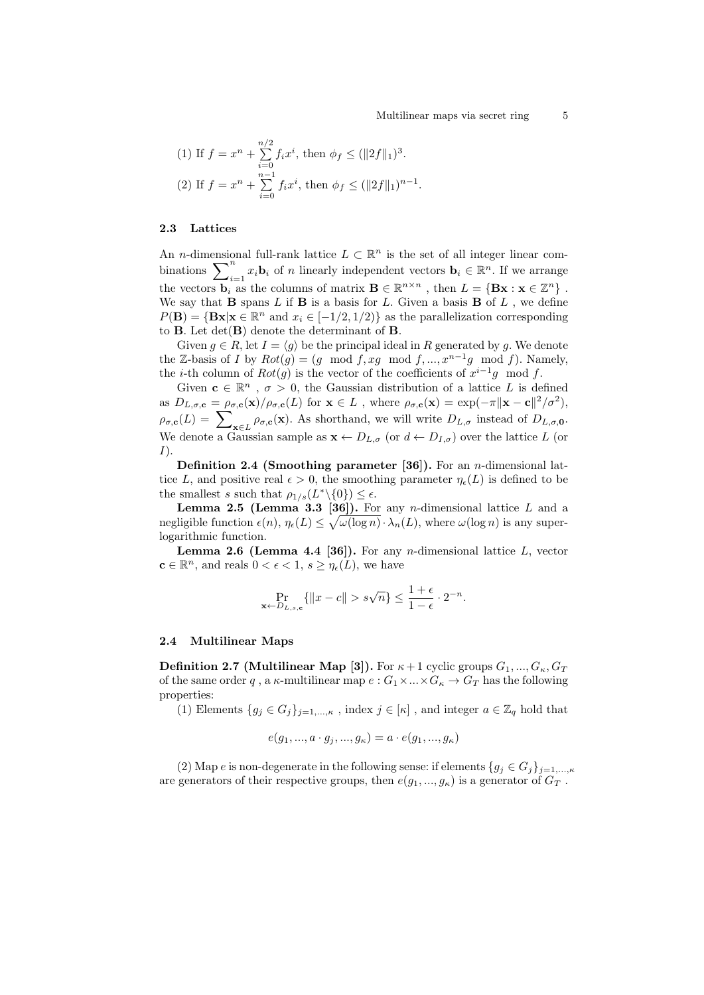(1) If 
$$
f = x^n + \sum_{i=0}^{n/2} f_i x^i
$$
, then  $\phi_f \le (\|2f\|_1)^3$ .  
\n(2) If  $f = x^n + \sum_{i=0}^{n-1} f_i x^i$ , then  $\phi_f \le (\|2f\|_1)^{n-1}$ .

#### 2.3 Lattices

An *n*-dimensional full-rank lattice  $L \subset \mathbb{R}^n$  is the set of all integer linear combinations  $\sum_{i=1}^n x_i \mathbf{b}_i$  of n linearly independent vectors  $\mathbf{b}_i \in \mathbb{R}^n$ . If we arrange the vectors  $\mathbf{b}_i$  as the columns of matrix  $\mathbf{B} \in \mathbb{R}^{n \times n}$ , then  $L = \{ \mathbf{Bx} : \mathbf{x} \in \mathbb{Z}^n \}$ . We say that **B** spans  $L$  if **B** is a basis for  $L$ . Given a basis **B** of  $L$  , we define  $P(\mathbf{B}) = {\mathbf{Bx}|\mathbf{x} \in \mathbb{R}^n$  and  $x_i \in [-1/2, 1/2)$  as the parallelization corresponding to **B**. Let  $det(\mathbf{B})$  denote the determinant of **B**.

Given  $g \in R$ , let  $I = \langle g \rangle$  be the principal ideal in R generated by g. We denote the Z-basis of I by  $Rot(g) = (g \mod f, xg \mod f, ..., x^{n-1}g \mod f)$ . Namely, the *i*-th column of  $Rot(g)$  is the vector of the coefficients of  $x^{i-1}g \mod f$ .

Given  $\mathbf{c} \in \mathbb{R}^n$ ,  $\sigma > 0$ , the Gaussian distribution of a lattice L is defined as  $D_{L,\sigma,\mathbf{c}} = \rho_{\sigma,\mathbf{c}}(\mathbf{x})/\rho_{\sigma,\mathbf{c}}(L)$  for  $\mathbf{x} \in L$ , where  $\rho_{\sigma,\mathbf{c}}(\mathbf{x}) = \exp(-\pi \|\mathbf{x} - \mathbf{c}\|^2/\sigma^2)$ ,  $\rho_{\sigma,\mathbf{c}}(L) = \sum_{\mathbf{x}\in L} \rho_{\sigma,\mathbf{c}}(\mathbf{x})$ . As shorthand, we will write  $D_{L,\sigma}$  instead of  $D_{L,\sigma,\mathbf{0}}$ . We denote a Gaussian sample as  $\mathbf{x} \leftarrow D_{L,\sigma}$  (or  $d \leftarrow D_{I,\sigma}$ ) over the lattice L (or  $I$ ).

Definition 2.4 (Smoothing parameter [\[36\]](#page-18-5)). For an *n*-dimensional lattice L, and positive real  $\epsilon > 0$ , the smoothing parameter  $\eta_{\epsilon}(L)$  is defined to be the smallest s such that  $\rho_{1/s}(L^*\setminus\{0\}) \leq \epsilon$ .

**Lemma 2.5 (Lemma 3.3 [\[36\]](#page-18-5)).** For any *n*-dimensional lattice  $L$  and a negligible function  $\epsilon(n)$ ,  $\eta_{\epsilon}(L) \leq \sqrt{\omega(\log n)} \cdot \lambda_n(L)$ , where  $\omega(\log n)$  is any superlogarithmic function.

**Lemma 2.6 (Lemma 4.4 [\[36\]](#page-18-5)).** For any *n*-dimensional lattice  $L$ , vector  $\mathbf{c} \in \mathbb{R}^n$ , and reals  $0 < \epsilon < 1$ ,  $s \geq \eta_{\epsilon}(L)$ , we have

$$
\Pr_{\mathbf{x}\leftarrow D_{L,s,c}}\{\|x-c\| > s\sqrt{n}\} \le \frac{1+\epsilon}{1-\epsilon} \cdot 2^{-n}.
$$

### 2.4 Multilinear Maps

**Definition 2.7 (Multilinear Map [\[3\]](#page-16-0)).** For  $\kappa + 1$  cyclic groups  $G_1, ..., G_{\kappa}, G_T$ of the same order  $q$  , a  $\kappa\text{-multiplicar map } e: G_1 \times \ldots \times G_\kappa \to G_T$  has the following properties:

(1) Elements  $\{g_j \in G_j\}_{j=1,\ldots,\kappa}$ , index  $j \in [\kappa]$ , and integer  $a \in \mathbb{Z}_q$  hold that

$$
e(g_1, ..., a \cdot g_j, ..., g_\kappa) = a \cdot e(g_1, ..., g_\kappa)
$$

(2) Map e is non-degenerate in the following sense: if elements  $\{g_j \in G_j\}_{j=1,\ldots,\kappa}$ are generators of their respective groups, then  $e(g_1, ..., g_\kappa)$  is a generator of  $G_T$ .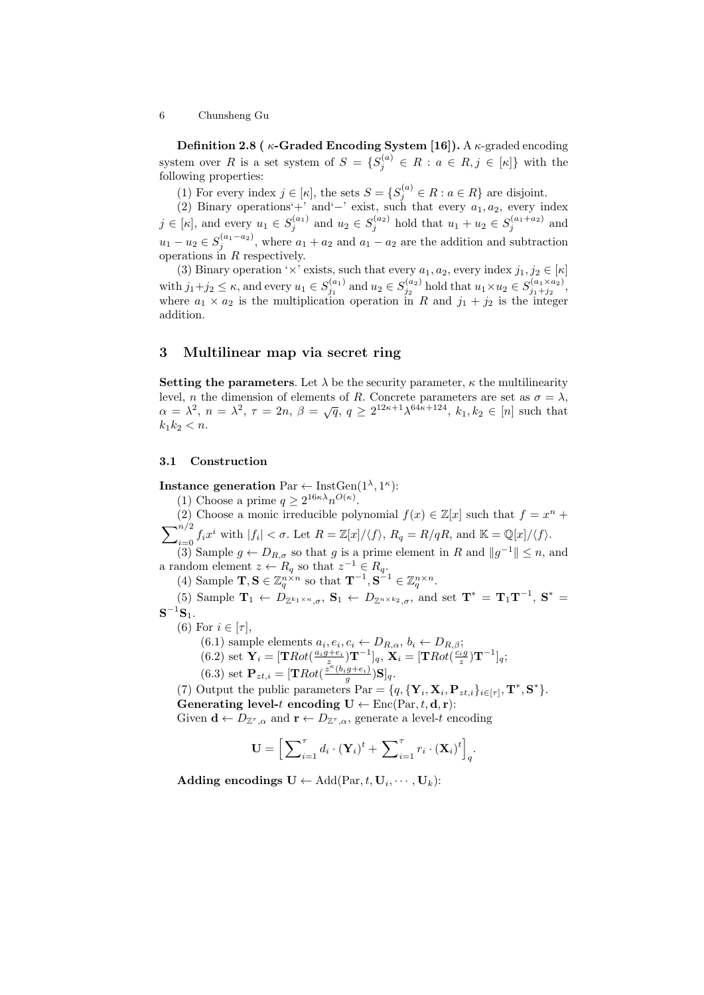Definition 2.8 ( $\kappa$ -Graded Encoding System [\[16\]](#page-17-0)). A  $\kappa$ -graded encoding system over R is a set system of  $S = \{S_j^{(a)} \in R : a \in R, j \in [\kappa]\}\$  with the following properties:

(1) For every index  $j \in [\kappa]$ , the sets  $S = \{S_j^{(a)} \in R : a \in R\}$  are disjoint.

(2) Binary operations'+' and'−' exist, such that every  $a_1, a_2$ , every index  $j \in [\kappa]$ , and every  $u_1 \in S_j^{(a_1)}$  and  $u_2 \in S_j^{(a_2)}$  hold that  $u_1 + u_2 \in S_j^{(a_1 + a_2)}$  and  $u_1 - u_2 \in S_j^{(a_1 - a_2)}$ , where  $a_1 + a_2$  and  $a_1 - a_2$  are the addition and subtraction operations in R respectively.

(3) Binary operation ' $\times$ ' exists, such that every  $a_1, a_2$ , every index  $j_1, j_2 \in [\kappa]$ with  $j_1+j_2 \leq \kappa$ , and every  $u_1 \in S_{j_1}^{(a_1)}$  and  $u_2 \in S_{j_2}^{(a_2)}$  hold that  $u_1 \times u_2 \in S_{j_1+j_2}^{(a_1 \times a_2)}$ , where  $a_1 \times a_2$  is the multiplication operation in R and  $j_1 + j_2$  is the integer addition.

## 3 Multilinear map via secret ring

Setting the parameters. Let  $\lambda$  be the security parameter,  $\kappa$  the multilinearity level, *n* the dimension of elements of *R*. Concrete parameters are set as  $\sigma = \lambda$ , hever, *n* and dimension of elements of *n*. Concrete parameters are set as  $\sigma = \lambda$ ,<br>  $\alpha = \lambda^2$ ,  $n = \lambda^2$ ,  $\tau = 2n$ ,  $\beta = \sqrt{q}$ ,  $q \ge 2^{12\kappa + 1} \lambda^{64\kappa + 124}$ ,  $k_1, k_2 \in [n]$  such that  $k_1k_2 < n$ .

### 3.1 Construction

Instance generation  $\text{Par} \leftarrow \text{InstGen}(1^{\lambda}, 1^{\kappa})$ :

(1) Choose a prime  $q \geq 2^{16\kappa\lambda} n^{O(\kappa)}$ .

(2) Choose a monic irreducible polynomial  $f(x) \in \mathbb{Z}[x]$  such that  $f = x^n +$ 

 $\sum_{i=0}^{n/2} f_i x^i$  with  $|f_i| < \sigma$ . Let  $R = \mathbb{Z}[x]/\langle f \rangle$ ,  $R_q = R/qR$ , and  $\mathbb{K} = \mathbb{Q}[x]/\langle f \rangle$ .

(3) Sample  $g \leftarrow D_{R,\sigma}$  so that g is a prime element in R and  $||g^{-1}|| \leq n$ , and a random element  $z \leftarrow R_q$  so that  $z^{-1} \in R_q$ .

(4) Sample  $\mathbf{T}, \mathbf{S} \in \mathbb{Z}_q^{n \times n}$  so that  $\mathbf{T}^{-1}, \mathbf{S}^{-1} \in \mathbb{Z}_q^{n \times n}$ .

(5) Sample  $\mathbf{T}_1 \leftarrow D_{\mathbb{Z}^{k_1\times n},\sigma}$ ,  $\mathbf{S}_1 \leftarrow D_{\mathbb{Z}^{n\times k_2},\sigma}$ , and set  $\mathbf{T}^* = \mathbf{T}_1 \mathbf{T}^{-1}$ ,  $\mathbf{S}^* =$  $\mathbf{S}^{-1}\mathbf{S}_1.$ 

- (6) For  $i \in [\tau]$ ,
	- $(6.1)$  sample elements  $a_i, e_i, c_i \leftarrow D_{R,\alpha}, b_i \leftarrow D_{R,\beta};$  $(6.2) \text{ set } \mathbf{Y}_i = [\mathbf{T}Rot(\frac{a_ig + e_i}{z})\mathbf{T}^{-1}]_q, \ \mathbf{X}_i = [\mathbf{T}Rot(\frac{c_ig}{z})\mathbf{T}^{-1}]_q;$  $(6.3)$  set  $\mathbf{P}_{zt,i} = [\mathbf{R}ot(\frac{\tilde{z}^{\kappa}(b_ig+e_i)}{g})\mathbf{S}]_q.$

(7) Output the public parameters  $\text{Par} = \{q, {\{\mathbf{Y}_i, \mathbf{X}_i, \mathbf{P}_{zt,i}\}_{i \in [\tau]}, \mathbf{T}^*, \mathbf{S}^*} \}.$ Generating level-t encoding  $U \leftarrow \text{Enc}(\text{Par}, t, \mathbf{d}, \mathbf{r})$ :

Given  $\mathbf{d} \leftarrow D_{\mathbb{Z}^{\tau}, \alpha}$  and  $\mathbf{r} \leftarrow D_{\mathbb{Z}^{\tau}, \alpha}$ , generate a level-t encoding

$$
\mathbf{U} = \left[ \sum_{i=1}^{T} d_i \cdot (\mathbf{Y}_i)^t + \sum_{i=1}^{T} r_i \cdot (\mathbf{X}_i)^t \right]_q.
$$

Adding encodings  $\mathbf{U} \leftarrow \text{Add}(\text{Par}, t, \mathbf{U}_i, \cdots, \mathbf{U}_k)$ :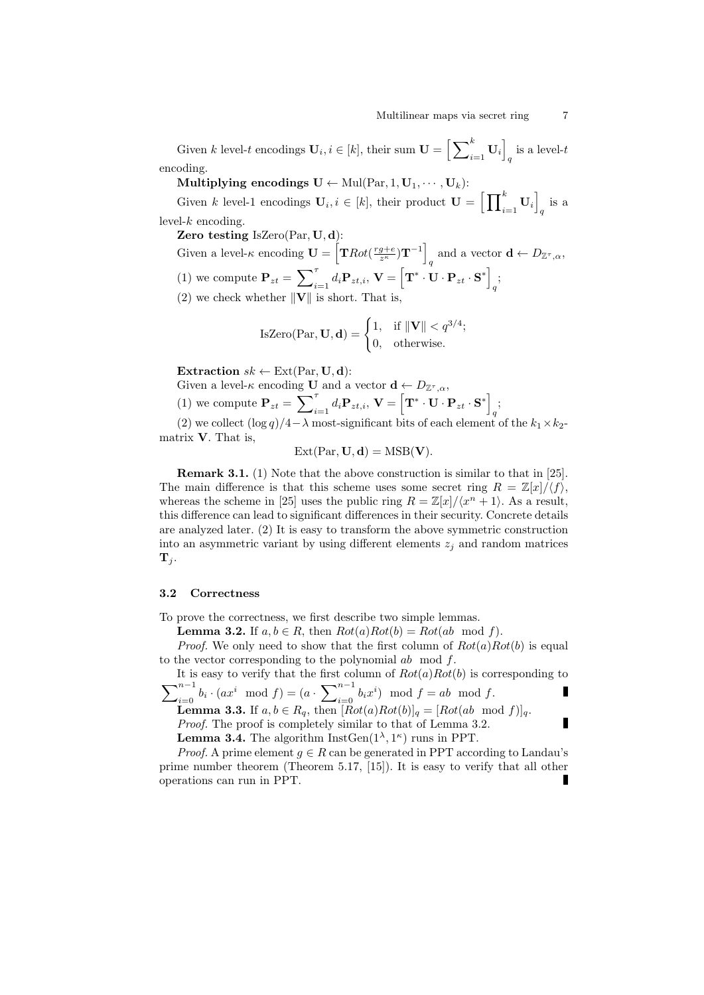Given  $k$  level-t encodings  $\mathbf{U}_i, i \in [k]$ , their sum  $\mathbf{U} = \left[\sum_{i=1}^k \mathbf{U}_i\right]$ is a level- $t_q$ encoding.

Multiplying encodings  $\mathbf{U} \leftarrow \text{Mul}(\text{Par}, 1, \mathbf{U}_1, \cdots, \mathbf{U}_k)$ :

Given k level-1 encodings  $\mathbf{U}_i, i \in [k]$ , their product  $\mathbf{U} = \left[ \prod_{i=1}^k \mathbf{U}_i \right]$  $q$  is a  $level-k$  encoding.

Zero testing IsZero(Par, U, d):

Given a level- $\kappa$  encoding  $\mathbf{U} = \left[ \mathbf{T} Rot(\frac{rg+e}{z^{\kappa}})\mathbf{T}^{-1} \right]$ and a vector  $\mathbf{d} \leftarrow D_{\mathbb{Z}^{\tau},\alpha}$ , (1) we compute  $\mathbf{P}_{zt} = \sum_{i=1}^{\tau} d_i \mathbf{P}_{zt,i}, \mathbf{V} = \begin{bmatrix} \mathbf{T}^* \cdot \mathbf{U} \cdot \mathbf{P}_{zt} \cdot \mathbf{S}^* \end{bmatrix}$  $\frac{1}{q}$ (2) we check whether  $\|\mathbf{V}\|$  is short. That is,

IsZero(Par, **U**, **d**) = 
$$
\begin{cases} 1, & \text{if } ||\mathbf{V}|| < q^{3/4}; \\ 0, & \text{otherwise.} \end{cases}
$$

Extraction  $sk \leftarrow \text{Ext}(\text{Par}, \mathbf{U}, \mathbf{d})$ :

Given a level- $\kappa$  encoding **U** and a vector  $\mathbf{d} \leftarrow D_{\mathbb{Z}^{\tau}, \alpha}$ ,

(1) we compute 
$$
\mathbf{P}_{zt} = \sum_{i=1}^{T} d_i \mathbf{P}_{zt,i}, \mathbf{V} = \left[ \mathbf{T}^* \cdot \mathbf{U} \cdot \mathbf{P}_{zt} \cdot \mathbf{S}^* \right]_q;
$$

(2) we collect  $(\log q)/4-\lambda$  most-significant bits of each element of the  $k_1\times k_2$ matrix V. That is,

$$
Ext(Par, U, d) = MSB(V).
$$

Remark 3.1. (1) Note that the above construction is similar to that in [\[25\]](#page-17-16). The main difference is that this scheme uses some secret ring  $R = \mathbb{Z}[x]/\langle f \rangle$ , whereas the scheme in [\[25\]](#page-17-16) uses the public ring  $R = \mathbb{Z}[x]/\langle x^n + 1 \rangle$ . As a result, this difference can lead to significant differences in their security. Concrete details are analyzed later. (2) It is easy to transform the above symmetric construction into an asymmetric variant by using different elements  $z_i$  and random matrices  ${\bf T}_i$ .

### 3.2 Correctness

To prove the correctness, we first describe two simple lemmas.

**Lemma 3.2.** If  $a, b \in R$ , then  $Rot(a)Rot(b) = Rot(ab \mod f)$ .

*Proof.* We only need to show that the first column of  $Rot(a)Rot(b)$  is equal to the vector corresponding to the polynomial ab mod f.

It is easy to verify that the first column of  $Rot(a)Rot(b)$  is corresponding to  $\overline{\nabla}^{n-1}$  $\sum_{i=0}^{n-1} b_i \cdot (ax^i \mod f) = (a \cdot \sum_{i=0}^{n-1} b_i x^i) \mod f = ab \mod f.$ Г

**Lemma 3.3.** If  $a, b \in R_q$ , then  $[Rot(a)Rot(b)]_q = [Rot(ab \mod f)]_q$ . Proof. The proof is completely similar to that of Lemma 3.2.

**Lemma 3.4.** The algorithm  $InstGen(1^{\lambda}, 1^{\kappa})$  runs in PPT.

*Proof.* A prime element  $g \in R$  can be generated in PPT according to Landau's prime number theorem (Theorem 5.17, [\[15\]](#page-17-19)). It is easy to verify that all other operations can run in PPT.

Ē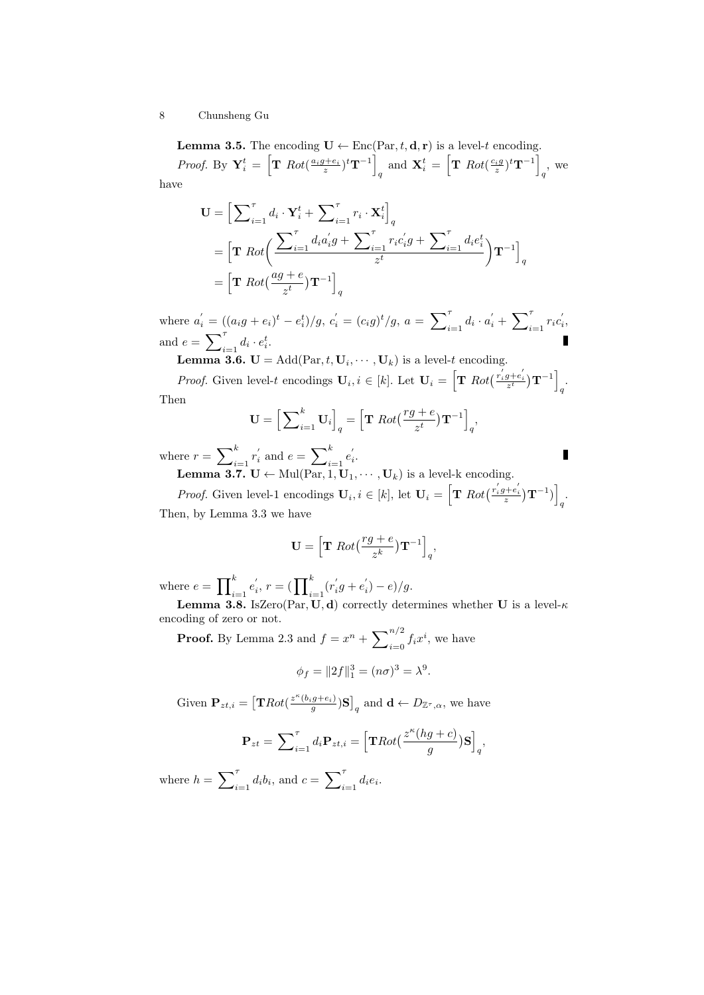**Lemma 3.5.** The encoding  $\mathbf{U} \leftarrow \text{Enc}(\text{Par}, t, \mathbf{d}, \mathbf{r})$  is a level-t encoding.

*Proof.* By  $\mathbf{Y}_i^t = \left[ \mathbf{T} \; Rot(\frac{a_i g + e_i}{z})^t \mathbf{T}^{-1} \right]$ and  $\mathbf{X}_i^t = \left[ \mathbf{T} \; Rot(\frac{c_i g}{z})^t \mathbf{T}^{-1} \right]$  $q^{\prime}$ , we have

$$
\mathbf{U} = \Big[\sum_{i=1}^{\tau} d_i \cdot \mathbf{Y}_i^t + \sum_{i=1}^{\tau} r_i \cdot \mathbf{X}_i^t \Big]_q
$$
  
=  $\Big[\mathbf{T} \; Rot\Big(\frac{\sum_{i=1}^{\tau} d_i a_i^{\prime} g + \sum_{i=1}^{\tau} r_i c_i^{\prime} g + \sum_{i=1}^{\tau} d_i e_i^t}{z^t}\Big) \mathbf{T}^{-1}\Big]_q$   
=  $\Big[\mathbf{T} \; Rot\Big(\frac{ag + e}{z^t}\Big) \mathbf{T}^{-1}\Big]_q$ 

where  $a'_i = ((a_i g + e_i)^t - e_i^t)/g$ ,  $c'_i = (c_i g)^t/g$ ,  $a = \sum_{i=1}^{\tau} d_i \cdot a'_i + \sum_{i=1}^{\tau} r_i c'_i$ , and  $e = \sum_{i=1}^{\tau} d_i \cdot e_i^t$ .

**Lemma 3.6.**  $\mathbf{U} = \text{Add}(\text{Par}, t, \mathbf{U}_i, \dots, \mathbf{U}_k)$  is a level-t encoding.

*Proof.* Given level-t encodings  $\mathbf{U}_i, i \in [k]$ . Let  $\mathbf{U}_i = \left[ \mathbf{T} \; Rot\left(\frac{r_i'g+e_i'}{z^t}\right) \mathbf{T}^{-1} \right]$ q . Then

$$
\mathbf{U} = \left[ \sum_{i=1}^{k} \mathbf{U}_{i} \right]_{q} = \left[ \mathbf{T} \; Rot\left(\frac{rg+e}{z^{t}}\right) \mathbf{T}^{-1} \right]_{q},
$$

Г

where  $r = \sum_{i=1}^{k} r'_i$  and  $e = \sum_{i=1}^{k} e'_i$ .

**Lemma 3.7.**  $\mathbf{U} \leftarrow \text{Mul}(\text{Par}, 1, \mathbf{U}_1, \cdots, \mathbf{U}_k)$  is a level-k encoding.

*Proof.* Given level-1 encodings  $\mathbf{U}_i, i \in [k]$ , let  $\mathbf{U}_i = \left[ \mathbf{T} \; Rot\left( \frac{r_i^{'}g + e_i^{'}}{z} \right) \mathbf{T}^{-1} \right)$  $\frac{1}{q}$ Then, by Lemma 3.3 we have

$$
\mathbf{U} = \left[ \mathbf{T} \; Rot\left(\frac{rg+e}{z^k}\right) \mathbf{T}^{-1} \right]_q,
$$

where  $e = \prod_{i=1}^{k} e'_i$ ,  $r = (\prod_{i=1}^{k} (r'_i g + e'_i) - e)/g$ .

**Lemma 3.8.** IsZero(Par, U, d) correctly determines whether U is a level- $\kappa$ encoding of zero or not.

**Proof.** By Lemma 2.3 and  $f = x^n + \sum_{i=0}^{n/2} f_i x^i$ , we have

$$
\phi_f = ||2f||_1^3 = (n\sigma)^3 = \lambda^9.
$$

Given  $\mathbf{P}_{zt,i} = \left[ \mathbf{T} Rot(\frac{z^{\kappa}(b_ig+e_i)}{g})\mathbf{S} \right]_q$  and  $\mathbf{d} \leftarrow D_{\mathbb{Z}^{\tau},\alpha}$ , we have

$$
\mathbf{P}_{zt} = \sum_{i=1}^{T} d_i \mathbf{P}_{zt,i} = \left[ \mathbf{T} Rot\left(\frac{z^{\kappa}(hg+c)}{g}\right) \mathbf{S} \right]_q,
$$

where  $h = \sum_{i=1}^{\tau} d_i b_i$ , and  $c = \sum_{i=1}^{\tau} d_i e_i$ .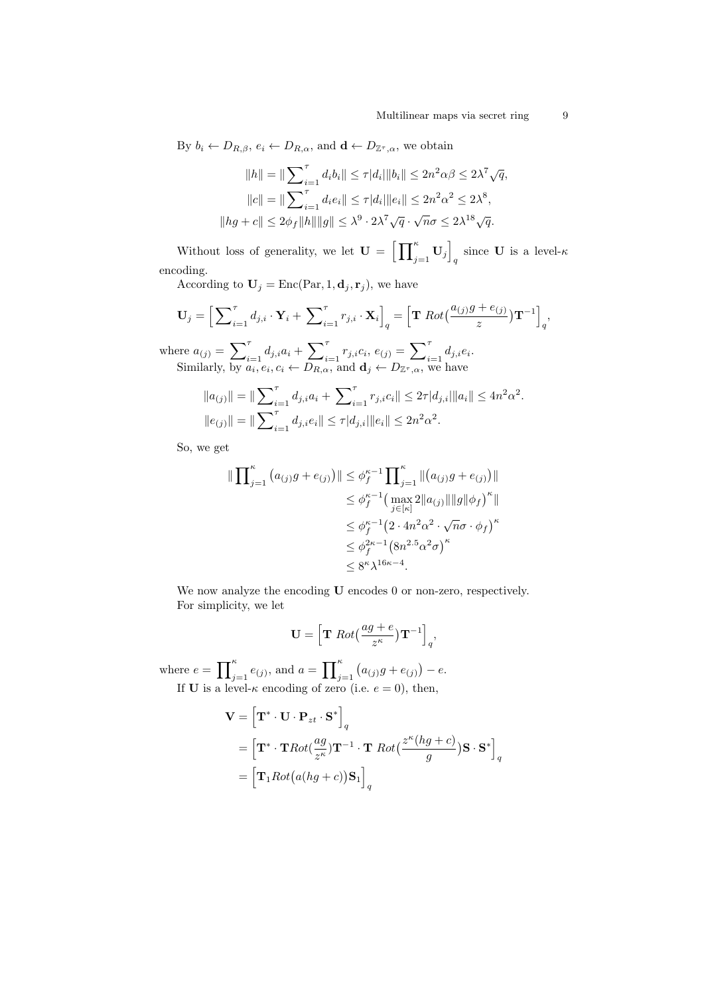By  $b_i \leftarrow D_{R,\beta}, e_i \leftarrow D_{R,\alpha}$ , and  $\mathbf{d} \leftarrow D_{\mathbb{Z}^{\tau},\alpha}$ , we obtain

$$
||h|| = ||\sum_{i=1}^{\tau} d_i b_i|| \leq \tau |d_i|||b_i|| \leq 2n^2 \alpha \beta \leq 2\lambda^7 \sqrt{q},
$$
  
\n
$$
||c|| = ||\sum_{i=1}^{\tau} d_i e_i|| \leq \tau |d_i|||e_i|| \leq 2n^2 \alpha^2 \leq 2\lambda^8,
$$
  
\n
$$
||hg + c|| \leq 2\phi_f ||h|| ||g|| \leq \lambda^9 \cdot 2\lambda^7 \sqrt{q} \cdot \sqrt{n}\sigma \leq 2\lambda^{18} \sqrt{q}.
$$

Without loss of generality, we let  $\mathbf{U} = \left[ \prod_{j=1}^{\kappa} \mathbf{U}_j \right]$ since **U** is a level- $\kappa$ encoding.

According to  $\mathbf{U}_j = \text{Enc}(\text{Par}, 1, \mathbf{d}_j, \mathbf{r}_j)$ , we have

$$
\mathbf{U}_{j} = \Big[\sum_{i=1}^{\tau} d_{j,i} \cdot \mathbf{Y}_{i} + \sum_{i=1}^{\tau} r_{j,i} \cdot \mathbf{X}_{i}\Big]_{q} = \Big[\mathbf{T} \, Rot\big(\frac{a_{(j)}g + e_{(j)}}{z}\big)\mathbf{T}^{-1}\Big]_{q},
$$

where  $a_{(j)} = \sum_{i=1}^{\tau} d_{j,i}a_i + \sum_{i=1}^{\tau} r_{j,i}c_i, e_{(j)} = \sum_{i=1}^{\tau} d_{j,i}e_i.$ Similarly, by  $a_i, e_i, c_i \leftarrow D_{R,\alpha}$ , and  $\mathbf{d}_j \leftarrow D_{\mathbb{Z}^{\tau},\alpha}$ , we have

$$
||a_{(j)}|| = ||\sum_{i=1}^{\tau} d_{j,i}a_i + \sum_{i=1}^{\tau} r_{j,i}c_i|| \leq 2\tau |d_{j,i}|||a_i|| \leq 4n^2\alpha^2.
$$
  

$$
||e_{(j)}|| = ||\sum_{i=1}^{\tau} d_{j,i}e_i|| \leq \tau |d_{j,i}|||e_i|| \leq 2n^2\alpha^2.
$$

So, we get

$$
\|\prod_{j=1}^{\kappa} (a_{(j)}g + e_{(j)})\| \leq \phi_f^{\kappa-1} \prod_{j=1}^{\kappa} \|(a_{(j)}g + e_{(j)})\|
$$
  
\n
$$
\leq \phi_f^{\kappa-1} (\max_{j \in [\kappa]} 2 \|a_{(j)}\| \|g\| \phi_f)^{\kappa} \|
$$
  
\n
$$
\leq \phi_f^{\kappa-1} (2 \cdot 4n^2 \alpha^2 \cdot \sqrt{n}\sigma \cdot \phi_f)^{\kappa}
$$
  
\n
$$
\leq \phi_f^{2\kappa-1} (8n^{2.5} \alpha^2 \sigma)^{\kappa}
$$
  
\n
$$
\leq 8^{\kappa} \lambda^{16\kappa - 4}.
$$

We now analyze the encoding **U** encodes 0 or non-zero, respectively. For simplicity, we let

$$
\mathbf{U} = \left[ \mathbf{T} \; Rot\left(\frac{ag+e}{z^{\kappa}}\right) \mathbf{T}^{-1} \right]_q,
$$

where  $e = \prod_{j=1}^{\kappa} e_{(j)}$ , and  $a = \prod_{j=1}^{\kappa} (a_{(j)}g + e_{(j)}) - e$ . If **U** is a level- $\kappa$  encoding of zero (i.e.  $e = 0$ ), then,

$$
\mathbf{V} = \left[ \mathbf{T}^* \cdot \mathbf{U} \cdot \mathbf{P}_{zt} \cdot \mathbf{S}^* \right]_q
$$
  
=  $\left[ \mathbf{T}^* \cdot \mathbf{T} Rot(\frac{ag}{z^{\kappa}}) \mathbf{T}^{-1} \cdot \mathbf{T} Rot(\frac{z^{\kappa}(hg+c)}{g}) \mathbf{S} \cdot \mathbf{S}^* \right]_q$   
=  $\left[ \mathbf{T}_1 Rot(a(hg+c)) \mathbf{S}_1 \right]_q$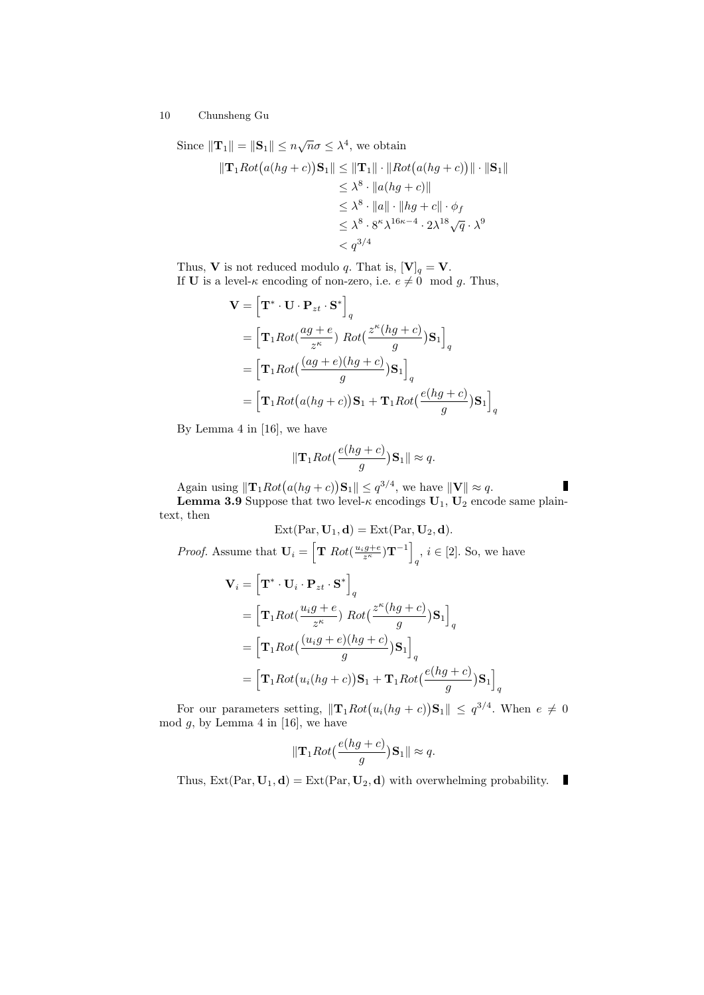Since  $\|\mathbf{T}_1\| = \|\mathbf{S}_1\| \leq n\sqrt{n}\sigma \leq \lambda^4$ , we obtain

$$
\|\mathbf{T}_1 Rot(a(hg+c))\mathbf{S}_1\| \le \|\mathbf{T}_1\| \cdot \|Rot(a(hg+c))\| \cdot \|\mathbf{S}_1\|
$$
  
\n
$$
\le \lambda^8 \cdot \|a(hg+c)\|
$$
  
\n
$$
\le \lambda^8 \cdot \|a\| \cdot \|hg+c\| \cdot \phi_f
$$
  
\n
$$
\le \lambda^8 \cdot 8^{\kappa} \lambda^{16\kappa-4} \cdot 2\lambda^{18} \sqrt{q} \cdot \lambda^9
$$
  
\n
$$
< q^{3/4}
$$

Thus, **V** is not reduced modulo q. That is,  $[\mathbf{V}]_q = \mathbf{V}$ . If **U** is a level- $\kappa$  encoding of non-zero, i.e.  $e \neq 0 \mod g$ . Thus,

$$
\mathbf{V} = \left[\mathbf{T}^* \cdot \mathbf{U} \cdot \mathbf{P}_{zt} \cdot \mathbf{S}^*\right]_q
$$
  
=  $\left[\mathbf{T}_1 Rot\left(\frac{ag+e}{z^{\kappa}}\right) Rot\left(\frac{z^{\kappa}(hg+c)}{g}\right)\mathbf{S}_1\right]_q$   
=  $\left[\mathbf{T}_1Rot\left(\frac{(ag+e)(hg+c)}{g}\right)\mathbf{S}_1\right]_q$   
=  $\left[\mathbf{T}_1Rot\left(a(hg+c)\right)\mathbf{S}_1 + \mathbf{T}_1Rot\left(\frac{e(hg+c)}{g}\right)\mathbf{S}_1\right]_q$ 

By Lemma 4 in [\[16\]](#page-17-0), we have

$$
\|\mathbf{T}_1 Rot\big(\frac{e(hg+c)}{g}\big)\mathbf{S}_1\| \approx q.
$$

Again using  $\|\mathbf{T}_1 Rot(a(hg+c))\mathbf{S}_1\| \leq q^{3/4}$ , we have  $\|\mathbf{V}\| \approx q$ .

**Lemma 3.9** Suppose that two level- $\kappa$  encodings  $U_1$ ,  $U_2$  encode same plaintext, then

$$
\text{Ext}(\text{Par}, \mathbf{U}_1, \mathbf{d}) = \text{Ext}(\text{Par}, \mathbf{U}_2, \mathbf{d}).
$$
  
*Proof.* Assume that  $\mathbf{U}_i = \left[ \mathbf{T} \; Rot(\frac{u_i g + e}{z^{\kappa}}) \mathbf{T}^{-1} \right]_q, i \in [2].$  So, we have

$$
\mathbf{V}_{i} = \left[\mathbf{T}^{*} \cdot \mathbf{U}_{i} \cdot \mathbf{P}_{zt} \cdot \mathbf{S}^{*}\right]_{q}
$$
  
\n
$$
= \left[\mathbf{T}_{1} Rot(\frac{u_{i}g + e}{z^{k}}) Rot(\frac{z^{k}(hg + c)}{g})\mathbf{S}_{1}\right]_{q}
$$
  
\n
$$
= \left[\mathbf{T}_{1}Rot((\frac{(u_{i}g + e)(hg + c)}{g})\mathbf{S}_{1}\right]_{q}
$$
  
\n
$$
= \left[\mathbf{T}_{1}Rot(u_{i}(hg + c))\mathbf{S}_{1} + \mathbf{T}_{1}Rot(\frac{e(hg + c)}{g})\mathbf{S}_{1}\right]
$$

For our parameters setting,  $\|\mathbf{T}_1 Rot(u_i(hg+c))\mathbf{S}_1\| \leq q^{3/4}$ . When  $e \neq 0$ mod  $g$ , by Lemma 4 in [\[16\]](#page-17-0), we have

q

$$
\|\mathbf{T}_1 Rot(\frac{e(hg+c)}{g})\mathbf{S}_1\| \approx q.
$$

Thus,  $\text{Ext}(\text{Par}, \mathbf{U}_1, \mathbf{d}) = \text{Ext}(\text{Par}, \mathbf{U}_2, \mathbf{d})$  with overwhelming probability.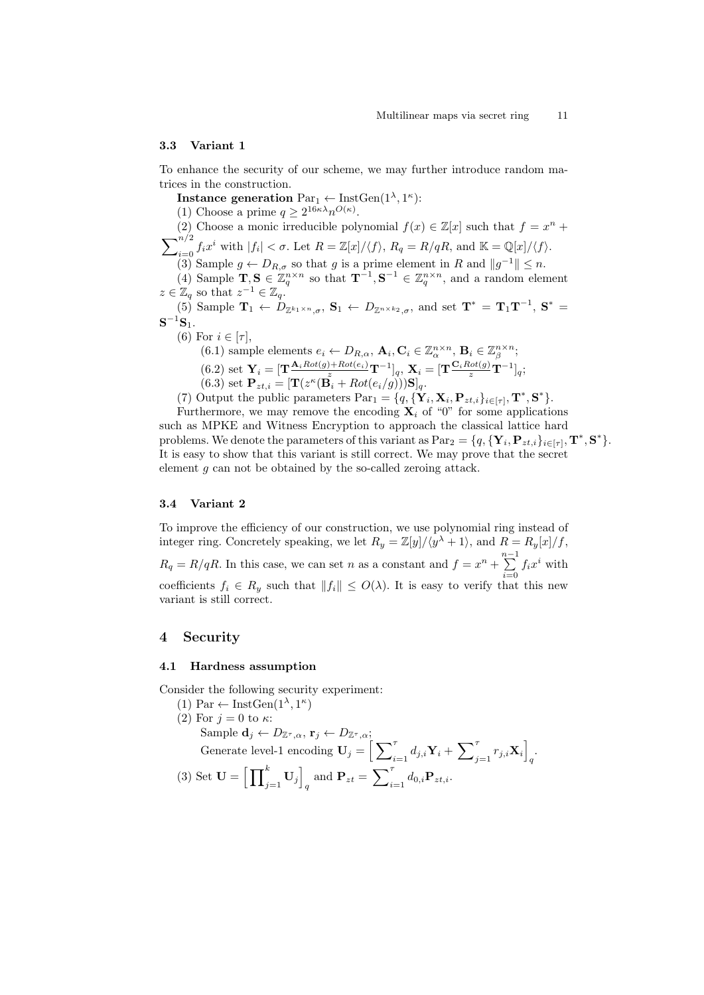#### 3.3 Variant 1

To enhance the security of our scheme, we may further introduce random matrices in the construction.

Instance generation  $Par_1 \leftarrow \text{InstGen}(1^{\lambda}, 1^{\kappa})$ : (1) Choose a prime  $q \geq 2^{16\kappa\lambda} n^{O(\kappa)}$ . (2) Choose a monic irreducible polynomial  $f(x) \in \mathbb{Z}[x]$  such that  $f = x^n +$  $\sum_{i=0}^{n/2} f_i x^i$  with  $|f_i| < \sigma$ . Let  $R = \mathbb{Z}[x]/\langle f \rangle$ ,  $R_q = R/qR$ , and  $\mathbb{K} = \mathbb{Q}[x]/\langle f \rangle$ . (3) Sample  $g \leftarrow D_{R,\sigma}$  so that g is a prime element in R and  $||g^{-1}|| \leq n$ . (4) Sample  $\mathbf{T}, \mathbf{S} \in \mathbb{Z}_q^{n \times n}$  so that  $\mathbf{T}^{-1}, \mathbf{S}^{-1} \in \mathbb{Z}_q^{n \times n}$ , and a random element

 $z \in \mathbb{Z}_q$  so that  $z^{-1} \in \mathbb{Z}_q$ .

(5) Sample  $\mathbf{T}_1 \leftarrow \dot{D}_{\mathbb{Z}^{k_1\times n},\sigma}$ ,  $\mathbf{S}_1 \leftarrow D_{\mathbb{Z}^{n\times k_2},\sigma}$ , and set  $\mathbf{T}^* = \mathbf{T}_1 \mathbf{T}^{-1}$ ,  $\mathbf{S}^* =$  $\mathbf{S}^{-1}\mathbf{S}_1.$ 

(6) For  $i \in [\tau]$ ,

(6.1) sample elements  $e_i \leftarrow D_{R,\alpha}, \mathbf{A}_i, \mathbf{C}_i \in \mathbb{Z}_\alpha^{n \times n}, \mathbf{B}_i \in \mathbb{Z}_\beta^{n \times n};$ (6.2) set  $\mathbf{Y}_i = [\mathbf{T} \frac{\mathbf{A}_i Rot(g)+Rot(e_i)}{z} \mathbf{T}^{-1}]_q, \mathbf{X}_i = [\mathbf{T} \frac{\mathbf{C}_iRot(g)}{z} \mathbf{T}^{-1}]_q;$ (6.3) set  $\mathbf{P}_{zt,i} = [\mathbf{T}(z^{\kappa}(\mathbf{B}_i + Rot(e_i/g)))\mathbf{S}]_q$ .

(7) Output the public parameters  $\text{Par}_1 = \{q, \{Y_i, \mathbf{X}_i, \mathbf{P}_{zt,i}\}_{i \in [\tau]}, \mathbf{T}^*, \mathbf{S}^* \}.$ 

Furthermore, we may remove the encoding  $\mathbf{X}_i$  of "0" for some applications such as MPKE and Witness Encryption to approach the classical lattice hard problems. We denote the parameters of this variant as  $Par_2 = \{q, {\{\mathbf{Y}_i, \mathbf{P}_{zt,i}\}_{i \in [\tau]}, \mathbf{T}^*, \mathbf{S}^*} \}.$ It is easy to show that this variant is still correct. We may prove that the secret element g can not be obtained by the so-called zeroing attack.

#### 3.4 Variant 2

To improve the efficiency of our construction, we use polynomial ring instead of integer ring. Concretely speaking, we let  $R_y = \mathbb{Z}[y]/\langle y^{\lambda} + 1 \rangle$ , and  $R = R_y[x]/f$ ,  $R_q = R/qR$ . In this case, we can set n as a constant and  $f = x^n + \sum^{n-1}$  $\sum_{i=0} f_i x^i$  with coefficients  $f_i \in R_y$  such that  $||f_i|| \leq O(\lambda)$ . It is easy to verify that this new variant is still correct.

## 4 Security

#### 4.1 Hardness assumption

Consider the following security experiment:

- (1) Par  $\leftarrow$  InstGen $(1^{\lambda}, 1^{\kappa})$
- (2) For  $j=0$  to  $\kappa$ : Sample  $\mathbf{d}_j \leftarrow D_{\mathbb{Z}^{\tau}, \alpha}, \mathbf{r}_j \leftarrow D_{\mathbb{Z}^{\tau}, \alpha};$ Generate level-1 encoding  $\mathbf{U}_j = \Big[\sum_{i=1}^{\tau} d_{j,i} \mathbf{Y}_i + \sum_{j=1}^{\tau} r_{j,i} \mathbf{X}_i \Big]$  $\frac{1}{q}$ (3) Set  $\mathbf{U} = \left[ \prod_{j=1}^{k} \mathbf{U}_{j} \right]$ and  $\mathbf{P}_{zt} = \sum_{i=1}^{\tau} d_{0,i} \mathbf{P}_{zt,i}.$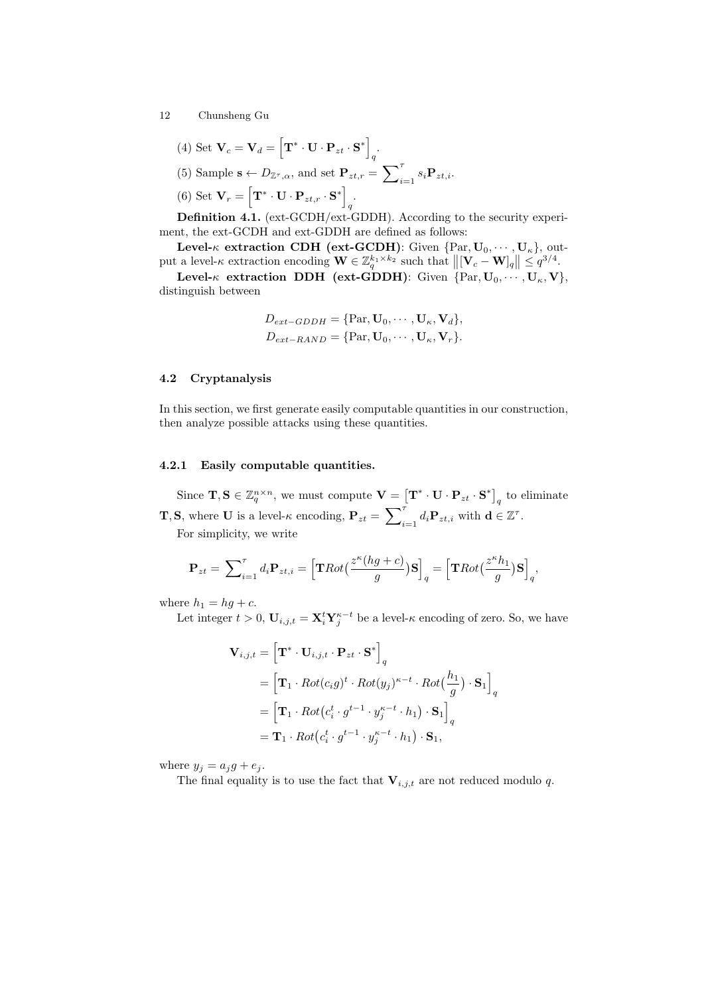(4) Set 
$$
\mathbf{V}_c = \mathbf{V}_d = \left[\mathbf{T}^* \cdot \mathbf{U} \cdot \mathbf{P}_{zt} \cdot \mathbf{S}^*\right]_q
$$
.  
\n(5) Sample  $\mathbf{s} \leftarrow D_{\mathbb{Z}^{\tau}, \alpha}$ , and set  $\mathbf{P}_{zt,r} = \sum_{i=1}^{\tau} s_i \mathbf{P}_{zt,i}$ .  
\n(6) Set  $\mathbf{V}_r = \left[\mathbf{T}^* \cdot \mathbf{U} \cdot \mathbf{P}_{zt,r} \cdot \mathbf{S}^*\right]_q$ .

Definition 4.1. (ext-GCDH/ext-GDDH). According to the security experiment, the ext-GCDH and ext-GDDH are defined as follows:

Level- $\kappa$  extraction CDH (ext-GCDH): Given  $\{Par, U_0, \dots, U_{\kappa}\}\)$ , output a level-k extraction encoding  $\mathbf{W} \in \mathbb{Z}_q^{k_1 \times k_2}$  such that  $\left\| [\mathbf{V}_c - \mathbf{W}]_q \right\| \leq q^{3/4}$ .

Level- $\kappa$  extraction DDH (ext-GDDH): Given  $\{Par, U_0, \dots, U_{\kappa}, V\},\$ distinguish between

$$
D_{ext-GDDH} = \{ \text{Par}, \mathbf{U}_0, \cdots, \mathbf{U}_{\kappa}, \mathbf{V}_d \},
$$
  

$$
D_{ext-RAND} = \{ \text{Par}, \mathbf{U}_0, \cdots, \mathbf{U}_{\kappa}, \mathbf{V}_r \}.
$$

### 4.2 Cryptanalysis

In this section, we first generate easily computable quantities in our construction, then analyze possible attacks using these quantities.

### 4.2.1 Easily computable quantities.

Since  $\mathbf{T}, \mathbf{S} \in \mathbb{Z}_q^{n \times n}$ , we must compute  $\mathbf{V} = \left[ \mathbf{T}^* \cdot \mathbf{U} \cdot \mathbf{P}_{zt} \cdot \mathbf{S}^* \right]_q$  to eliminate **T**, **S**, where **U** is a level- $\kappa$  encoding,  $P_{zt} = \sum_{i=1}^{\tau} d_i P_{zt,i}$  with  $d \in \mathbb{Z}^{\tau}$ .

For simplicity, we write

$$
\mathbf{P}_{zt} = \sum_{i=1}^{\tau} d_i \mathbf{P}_{zt,i} = \left[ \mathbf{T} Rot\left(\frac{z^{\kappa}(hg+c)}{g}\right)\mathbf{S} \right]_q = \left[ \mathbf{T}Rot\left(\frac{z^{\kappa}h_1}{g}\right)\mathbf{S} \right]_q,
$$

where  $h_1 = hg + c$ .

Let integer  $t > 0$ ,  $\mathbf{U}_{i,j,t} = \mathbf{X}_i^t \mathbf{Y}_j^{\kappa-t}$  be a level- $\kappa$  encoding of zero. So, we have

$$
\mathbf{V}_{i,j,t} = \left[ \mathbf{T}^* \cdot \mathbf{U}_{i,j,t} \cdot \mathbf{P}_{zt} \cdot \mathbf{S}^* \right]_q
$$
  
\n
$$
= \left[ \mathbf{T}_1 \cdot Rot(c_i g)^t \cdot Rot(y_j)^{\kappa-t} \cdot Rot(\frac{h_1}{g}) \cdot \mathbf{S}_1 \right]_q
$$
  
\n
$$
= \left[ \mathbf{T}_1 \cdot Rot(c_i^t \cdot g^{t-1} \cdot y_j^{\kappa-t} \cdot h_1) \cdot \mathbf{S}_1 \right]_q
$$
  
\n
$$
= \mathbf{T}_1 \cdot Rot(c_i^t \cdot g^{t-1} \cdot y_j^{\kappa-t} \cdot h_1) \cdot \mathbf{S}_1,
$$

where  $y_j = a_j g + e_j$ .

The final equality is to use the fact that  $\mathbf{V}_{i,j,t}$  are not reduced modulo  $q.$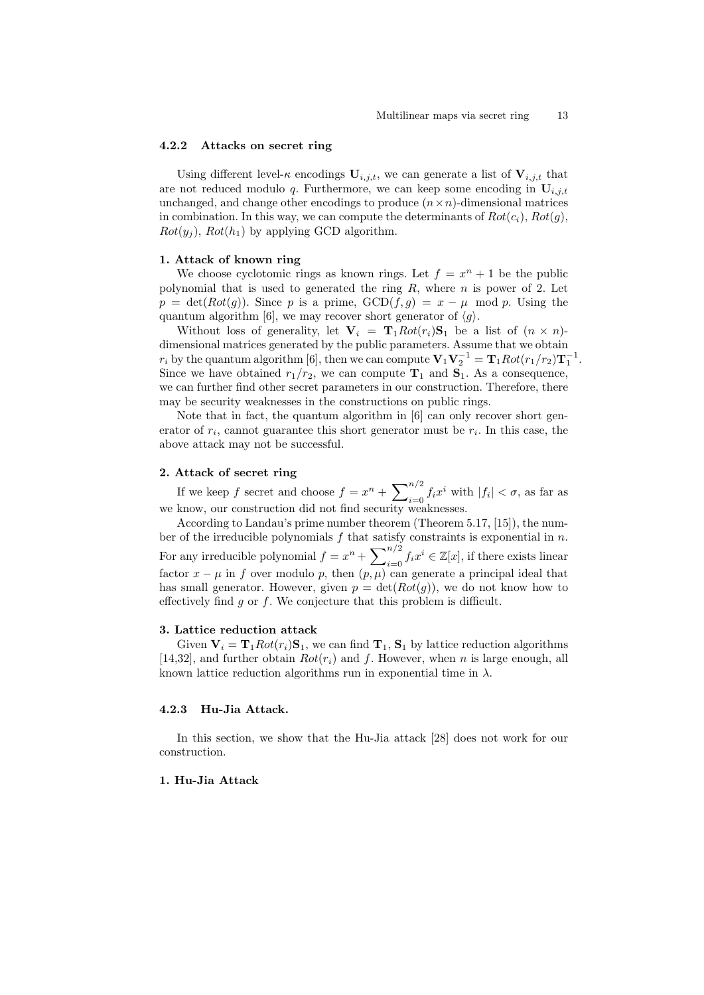#### 4.2.2 Attacks on secret ring

Using different level- $\kappa$  encodings  $U_{i,j,t}$ , we can generate a list of  $V_{i,j,t}$  that are not reduced modulo q. Furthermore, we can keep some encoding in  $U_{i,j,t}$ unchanged, and change other encodings to produce  $(n \times n)$ -dimensional matrices in combination. In this way, we can compute the determinants of  $Rot(c_i)$ ,  $Rot(g)$ ,  $Rot(y_i)$ ,  $Rot(h_1)$  by applying GCD algorithm.

#### 1. Attack of known ring

We choose cyclotomic rings as known rings. Let  $f = x^n + 1$  be the public polynomial that is used to generated the ring  $R$ , where  $n$  is power of 2. Let  $p = \det(Rot(g))$ . Since p is a prime,  $GCD(f,g) = x - \mu \mod p$ . Using the quantum algorithm [\[6\]](#page-17-20), we may recover short generator of  $\langle g \rangle$ .

Without loss of generality, let  $V_i = T_1 Rot(r_i)S_1$  be a list of  $(n \times n)$ dimensional matrices generated by the public parameters. Assume that we obtain  $r_i$  by the quantum algorithm [\[6\]](#page-17-20), then we can compute  $\mathbf{V}_1 \mathbf{V}_2^{-1} = \mathbf{T}_1 Rot(r_1/r_2)\mathbf{T}_1^{-1}$ . Since we have obtained  $r_1/r_2$ , we can compute  $\mathbf{T}_1$  and  $\mathbf{S}_1$ . As a consequence, we can further find other secret parameters in our construction. Therefore, there may be security weaknesses in the constructions on public rings.

Note that in fact, the quantum algorithm in [\[6\]](#page-17-20) can only recover short generator of  $r_i$ , cannot guarantee this short generator must be  $r_i$ . In this case, the above attack may not be successful.

### 2. Attack of secret ring

If we keep f secret and choose  $f = x^n + \sum_{i=0}^{n/2} f_i x^i$  with  $|f_i| < \sigma$ , as far as we know, our construction did not find security weaknesses.

According to Landau's prime number theorem (Theorem 5.17, [\[15\]](#page-17-19)), the number of the irreducible polynomials  $f$  that satisfy constraints is exponential in  $n$ . For any irreducible polynomial  $f = x^n + \sum_{i=0}^{n/2} f_i x^i \in \mathbb{Z}[x]$ , if there exists linear factor  $x - \mu$  in f over modulo p, then  $(p, \mu)$  can generate a principal ideal that has small generator. However, given  $p = \det(Rot(q))$ , we do not know how to effectively find  $q$  or  $f$ . We conjecture that this problem is difficult.

### 3. Lattice reduction attack

Given  $V_i = T_1 Rot(r_i)S_1$ , we can find  $T_1$ ,  $S_1$  by lattice reduction algorithms [\[14](#page-17-21)[,32\]](#page-18-6), and further obtain  $Rot(r_i)$  and f. However, when n is large enough, all known lattice reduction algorithms run in exponential time in  $\lambda$ .

### 4.2.3 Hu-Jia Attack.

In this section, we show that the Hu-Jia attack [\[28\]](#page-17-8) does not work for our construction.

## 1. Hu-Jia Attack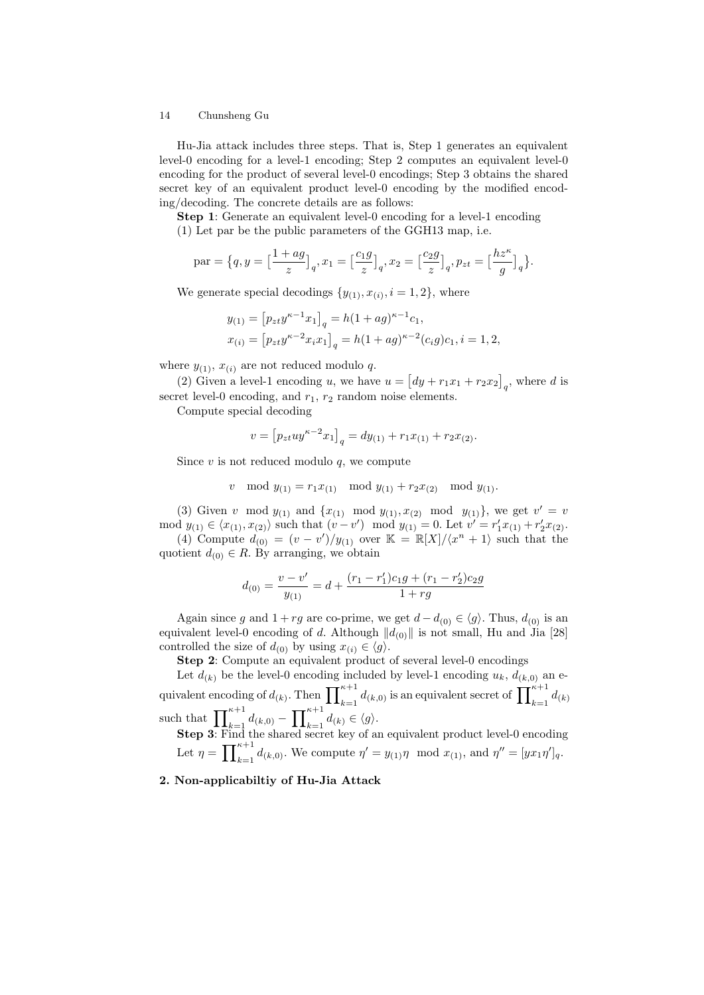Hu-Jia attack includes three steps. That is, Step 1 generates an equivalent level-0 encoding for a level-1 encoding; Step 2 computes an equivalent level-0 encoding for the product of several level-0 encodings; Step 3 obtains the shared secret key of an equivalent product level-0 encoding by the modified encoding/decoding. The concrete details are as follows:

Step 1: Generate an equivalent level-0 encoding for a level-1 encoding (1) Let par be the public parameters of the GGH13 map, i.e.

$$
\text{par} = \left\{q, y = \Big[\frac{1+ag}{z}\Big]_q, x_1 = \Big[\frac{c_1g}{z}\Big]_q, x_2 = \Big[\frac{c_2g}{z}\Big]_q, p_{zt} = \Big[\frac{hz^{\kappa}}{g}\Big]_q\right\}.
$$

We generate special decodings  $\{y_{(1)}, x_{(i)}, i = 1, 2\}$ , where

$$
y_{(1)} = [p_{zt}y^{\kappa-1}x_1]_q = h(1+ag)^{\kappa-1}c_1,
$$
  

$$
x_{(i)} = [p_{zt}y^{\kappa-2}x_ix_1]_q = h(1+ag)^{\kappa-2}(c_ig)c_1, i = 1, 2,
$$

where  $y_{(1)}$ ,  $x_{(i)}$  are not reduced modulo q.

(2) Given a level-1 encoding u, we have  $u = [dy + r_1x_1 + r_2x_2]_q$ , where d is secret level-0 encoding, and  $r_1$ ,  $r_2$  random noise elements.

Compute special decoding

$$
v = [p_{zt}uy^{\kappa-2}x_1]_q = dy_{(1)} + r_1x_{(1)} + r_2x_{(2)}.
$$

Since  $v$  is not reduced modulo  $q$ , we compute

$$
v \mod y_{(1)} = r_1 x_{(1)} \mod y_{(1)} + r_2 x_{(2)} \mod y_{(1)}.
$$

(3) Given v mod  $y_{(1)}$  and  $\{x_{(1)} \mod y_{(1)}, x_{(2)} \mod y_{(1)}\}$ , we get  $v' = v$ mod  $y_{(1)} \in \langle x_{(1)}, x_{(2)} \rangle$  such that  $(v - v') \mod y_{(1)} = 0$ . Let  $v' = r'_1 x_{(1)} + r'_2 x_{(2)}$ . (4) Compute  $d_{(0)} = (v - v')/y_{(1)}$  over  $\mathbb{K} = \mathbb{R}[X]/\langle x^n + 1 \rangle$  such that the

quotient  $d_{(0)} \in R$ . By arranging, we obtain

$$
d_{(0)} = \frac{v - v'}{y_{(1)}} = d + \frac{(r_1 - r_1')c_1g + (r_1 - r_2')c_2g}{1 + rg}
$$

Again since g and  $1 + rg$  are co-prime, we get  $d - d_{(0)} \in \langle g \rangle$ . Thus,  $d_{(0)}$  is an equivalent level-0 encoding of d. Although  $||d_{(0)}||$  is not small, Hu and Jia [\[28\]](#page-17-8) controlled the size of  $d_{(0)}$  by using  $x_{(i)} \in \langle g \rangle$ .

Step 2: Compute an equivalent product of several level-0 encodings

Let  $d_{(k)}$  be the level-0 encoding included by level-1 encoding  $u_k$ ,  $d_{(k,0)}$  an equivalent encoding of  $d_{(k)}$ . Then  $\prod_{k=1}^{\kappa+1} d_{(k,0)}$  is an equivalent secret of  $\prod_{k=1}^{\kappa+1} d_{(k)}$ such that  $\prod_{k=1}^{\kappa+1} d_{(k,0)} - \prod_{k=1}^{\kappa+1} d_{(k)} \in \langle g \rangle$ .

Step 3: Find the shared secret key of an equivalent product level-0 encoding Let  $\eta = \prod_{k=1}^{\kappa+1} d_{(k,0)}$ . We compute  $\eta' = y_{(1)}\eta \mod x_{(1)}$ , and  $\eta'' = [yx_1\eta']_q$ .

## 2. Non-applicabiltiy of Hu-Jia Attack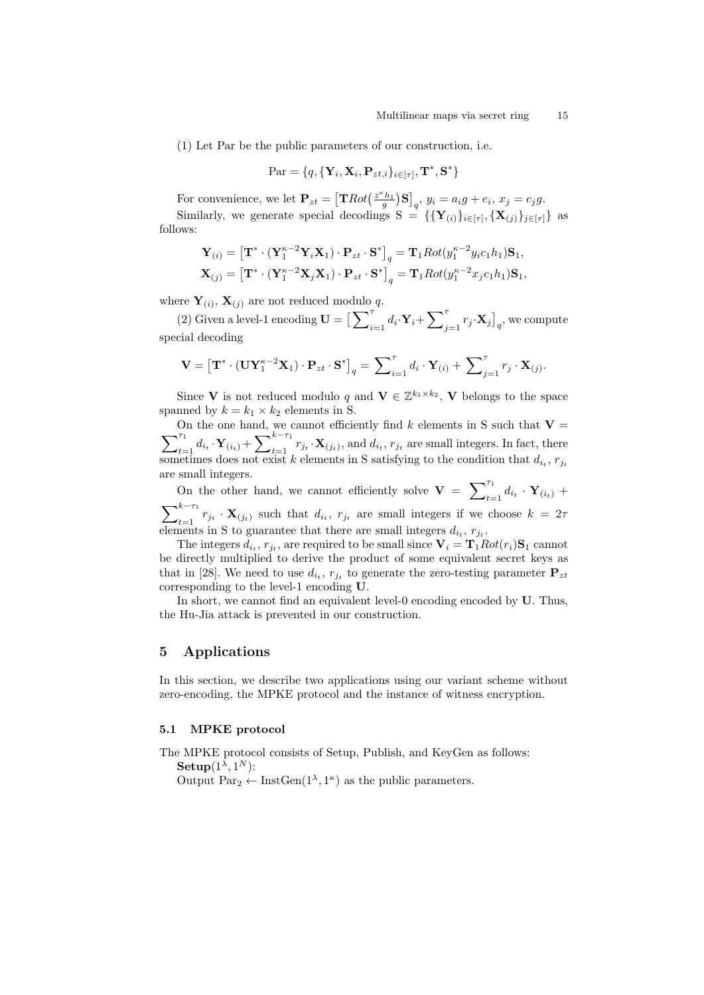(1) Let Par be the public parameters of our construction, i.e.

$$
\text{Par} = \{q, \{\mathbf{Y}_i, \mathbf{X}_i, \mathbf{P}_{zt,i}\}_{i \in [\tau]}, \mathbf{T}^*, \mathbf{S}^*\}
$$

For convenience, we let  $\mathbf{P}_{zt} = \left[ \mathbf{T} Rot\left(\frac{z^{\kappa}h_1}{g}\right)\mathbf{S} \right]_q$ ,  $y_i = a_ig + e_i$ ,  $x_j = c_jg$ .

Similarly, we generate special decodings  $S = \{ {\bf{Y}_{(i)}}\}_{i \in [\tau]}, {\bf{X}_{(j)}}\}_{j \in [\tau]}$  as follows:

$$
\mathbf{Y}_{(i)} = \left[\mathbf{T}^* \cdot (\mathbf{Y}_1^{\kappa-2} \mathbf{Y}_i \mathbf{X}_1) \cdot \mathbf{P}_{zt} \cdot \mathbf{S}^*\right]_q = \mathbf{T}_1 Rot(y_1^{\kappa-2} y_i c_1 h_1) \mathbf{S}_1,
$$
  

$$
\mathbf{X}_{(j)} = \left[\mathbf{T}^* \cdot (\mathbf{Y}_1^{\kappa-2} \mathbf{X}_j \mathbf{X}_1) \cdot \mathbf{P}_{zt} \cdot \mathbf{S}^*\right]_q = \mathbf{T}_1 Rot(y_1^{\kappa-2} x_j c_1 h_1) \mathbf{S}_1,
$$

where  $Y_{(i)}$ ,  $X_{(j)}$  are not reduced modulo q.

(2) Given a level-1 encoding  $\mathbf{U} = \Big[\sum_{i=1}^{\tau} d_i \cdot \mathbf{Y}_i + \sum_{j=1}^{\tau} r_j \cdot \mathbf{X}_j\Big]_q$ , we compute special decoding

$$
\mathbf{V} = \left[\mathbf{T}^* \cdot (\mathbf{U} \mathbf{Y}_1^{\kappa-2} \mathbf{X}_1) \cdot \mathbf{P}_{zt} \cdot \mathbf{S}^*\right]_q = \sum_{i=1}^{\tau} d_i \cdot \mathbf{Y}_{(i)} + \sum_{j=1}^{\tau} r_j \cdot \mathbf{X}_{(j)}.
$$

Since **V** is not reduced modulo q and  $\mathbf{V} \in \mathbb{Z}^{k_1 \times k_2}$ , **V** belongs to the space spanned by  $k = k_1 \times k_2$  elements in S.

 $\sum$ On the one hand, we cannot efficiently find k elements in S such that  $\mathbf{V} =$  $\sum_{t=1}^{\tau_1} d_{i_t} \cdot \mathbf{Y}_{(i_t)} + \sum_{t=1}^{k-\tau_1} r_{j_t} \cdot \mathbf{X}_{(j_t)}$ , and  $d_{i_t}$ ,  $r_{j_t}$  are small integers. In fact, there sometimes does not exist k elements in S satisfying to the condition that  $d_{i_t}$ ,  $r_{j_t}$ are small integers.

On the other hand, we cannot efficiently solve  $\mathbf{V} = \sum_{t=1}^{\tau_1} d_{i_t} \cdot \mathbf{Y}_{(i_t)} +$  $\sum_{t=1}^{k-\tau_1} r_{j_t} \cdot \mathbf{X}_{(j_t)}$  such that  $d_{i_t}$ ,  $r_{j_t}$  are small integers if we choose  $k = 2\tau$ elements in S to guarantee that there are small integers  $d_{i_t}$ ,  $r_{j_t}$ .

The integers  $d_{i_t}$ ,  $r_{j_t}$ , are required to be small since  $\mathbf{V}_i = \mathbf{T}_1 Rot(r_i)\mathbf{S}_1$  cannot be directly multiplied to derive the product of some equivalent secret keys as that in [\[28\]](#page-17-8). We need to use  $d_{i_t}$ ,  $r_{j_t}$  to generate the zero-testing parameter  $P_{zt}$ corresponding to the level-1 encoding U.

In short, we cannot find an equivalent level-0 encoding encoded by U. Thus, the Hu-Jia attack is prevented in our construction.

## 5 Applications

In this section, we describe two applications using our variant scheme without zero-encoding, the MPKE protocol and the instance of witness encryption.

## 5.1 MPKE protocol

The MPKE protocol consists of Setup, Publish, and KeyGen as follows: Setup $(1^{\lambda}, 1^N)$ :

Output  $Par_2 \leftarrow \text{InstGen}(1^{\lambda}, 1^{\kappa})$  as the public parameters.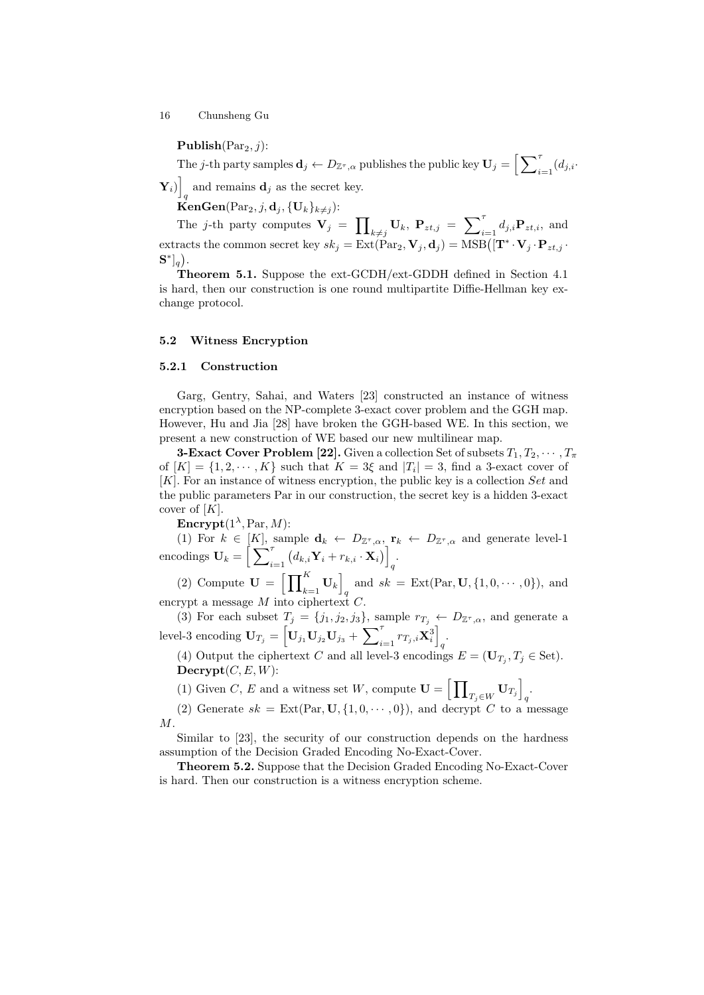Publish $(\text{Par}_2, j)$ :

The j-th party samples  $\mathbf{d}_j \leftarrow D_{\mathbb{Z}^{\tau},\alpha}$  publishes the public key  $\mathbf{U}_j = \Big[\sum_{i=1}^{\tau}(d_{j,i}\cdot$ 

 $\mathbf{Y}_i)\Big]$ and remains  $\mathbf{d}_j$  as the secret key.

KenGen(Par<sub>2</sub>, *j*, **d**<sub>*j*</sub>, {U<sub>k</sub>}<sub>k $\neq$ *j*):</sub>

The *j*-th party computes  $\mathbf{V}_j = \prod_{k \neq j} \mathbf{U}_k, \ \mathbf{P}_{zt,j} = \sum_{i=1}^{\tau} d_{j,i} \mathbf{P}_{zt,i}$ , and extracts the common secret key  $sk_j = \text{Ext}(\text{Par}_2, \mathbf{V}_j, \mathbf{d}_j) = \text{MSB}([\mathbf{T}^* \cdot \mathbf{V}_j \cdot \mathbf{P}_{zt,j} \cdot \mathbf{d}_j])$  $\mathbf{S}^*]_q$ ).

Theorem 5.1. Suppose the ext-GCDH/ext-GDDH defined in Section 4.1 is hard, then our construction is one round multipartite Diffie-Hellman key exchange protocol.

#### 5.2 Witness Encryption

#### 5.2.1 Construction

Garg, Gentry, Sahai, and Waters [\[23\]](#page-17-3) constructed an instance of witness encryption based on the NP-complete 3-exact cover problem and the GGH map. However, Hu and Jia [\[28\]](#page-17-8) have broken the GGH-based WE. In this section, we present a new construction of WE based our new multilinear map.

**3-Exact Cover Problem [\[22\]](#page-17-22).** Given a collection Set of subsets  $T_1, T_2, \cdots, T_{\pi}$ of  $[K] = \{1, 2, \dots, K\}$  such that  $K = 3\xi$  and  $|T_i| = 3$ , find a 3-exact cover of [K]. For an instance of witness encryption, the public key is a collection Set and the public parameters Par in our construction, the secret key is a hidden 3-exact cover of  $[K]$ .

Encrypt $(1^{\lambda}, Par, M)$ :

(1) For  $k \in [K]$ , sample  $\mathbf{d}_k \leftarrow D_{\mathbb{Z}^{\tau},\alpha}$ ,  $\mathbf{r}_k \leftarrow D_{\mathbb{Z}^{\tau},\alpha}$  and generate level-1  $\text{encoding } \mathbf{U}_k = \Big[\sum\nolimits_{i=1}^{\tau} \big( d_{k,i} \mathbf{Y}_i + r_{k,i} \cdot \mathbf{X}_i \big) \Big]$ q .

(2) Compute  $\mathbf{U} = \left[ \prod_{k=1}^{K} \mathbf{U}_k \right]$ and  $sk = \text{Ext}(\text{Par}, \mathbf{U}, \{1, 0, \cdots, 0\}),$  and encrypt a message  $M$  into ciphertext  $C$ .

(3) For each subset  $T_j = \{j_1, j_2, j_3\}$ , sample  $r_{T_j} \leftarrow D_{\mathbb{Z}^{\tau},\alpha}$ , and generate a  $\text{level-3 encoding } \mathbf{U}_{T_j} = \left[ \mathbf{U}_{j_1} \mathbf{U}_{j_2} \mathbf{U}_{j_3} + \sum\nolimits_{i=1}^{\tau} r_{T_j,i} \mathbf{X}^3_i \right]$ q .

(4) Output the ciphertext C and all level-3 encodings  $E = (\mathbf{U}_{T_j}, T_j \in \text{Set})$ .  $\textbf{Decrypt}(C, E, W)$ :

(1) Given C, E and a witness set W, compute  $\mathbf{U} = \begin{bmatrix} \prod \end{bmatrix}$  $\left[\mathbf{U}_{T_j}\right]$ q .

(2) Generate  $sk = \text{Ext}(\text{Par}, \mathbf{U}, \{1, 0, \cdots, 0\})$ , and decrypt C to a message M.

Similar to [\[23\]](#page-17-3), the security of our construction depends on the hardness assumption of the Decision Graded Encoding No-Exact-Cover.

Theorem 5.2. Suppose that the Decision Graded Encoding No-Exact-Cover is hard. Then our construction is a witness encryption scheme.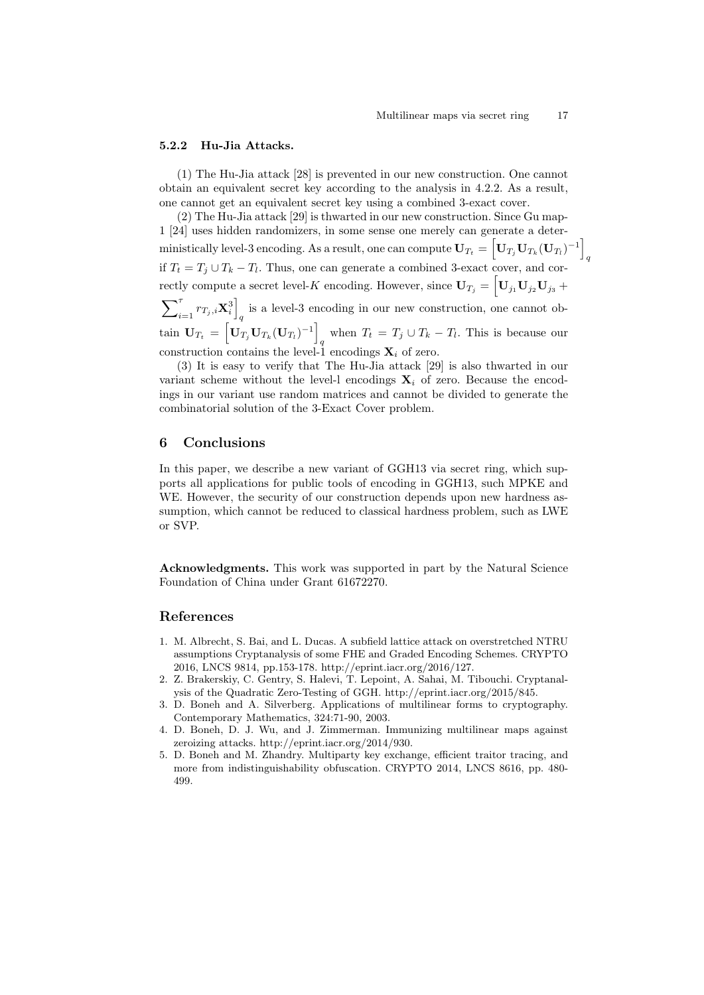q

### 5.2.2 Hu-Jia Attacks.

(1) The Hu-Jia attack [\[28\]](#page-17-8) is prevented in our new construction. One cannot obtain an equivalent secret key according to the analysis in 4.2.2. As a result, one cannot get an equivalent secret key using a combined 3-exact cover.

(2) The Hu-Jia attack [\[29\]](#page-17-15) is thwarted in our new construction. Since Gu map-1 [\[24\]](#page-17-14) uses hidden randomizers, in some sense one merely can generate a deterministically level-3 encoding. As a result, one can compute  $\mathbf{U}_{T_t} = \left[ \mathbf{U}_{T_j} \mathbf{U}_{T_k} (\mathbf{U}_{T_l})^{-1} \right]$ if  $T_t = T_j \cup T_k - T_l$ . Thus, one can generate a combined 3-exact cover, and correctly compute a secret level-*K* encoding. However, since  $U_{T_j} = \left[ U_{j_1} U_{j_2} U_{j_3} + \right]$  $\sum\nolimits_{i = 1}^{\tau} {{r_{T_j,i}}{\bf{X}}_i^3} \Bigr]$ is a level-3 encoding in our new construction, one cannot obtain  $\mathbf{U}_{T_t} = \left[ \mathbf{U}_{T_j} \mathbf{U}_{T_k} (\mathbf{U}_{T_l})^{-1} \right]$ when  $T_t = T_j \cup T_k - T_l$ . This is because our construction contains the level-1 encodings  $\mathbf{X}_i$  of zero.

(3) It is easy to verify that The Hu-Jia attack [\[29\]](#page-17-15) is also thwarted in our variant scheme without the level-l encodings  $X_i$  of zero. Because the encodings in our variant use random matrices and cannot be divided to generate the combinatorial solution of the 3-Exact Cover problem.

## 6 Conclusions

In this paper, we describe a new variant of GGH13 via secret ring, which supports all applications for public tools of encoding in GGH13, such MPKE and WE. However, the security of our construction depends upon new hardness assumption, which cannot be reduced to classical hardness problem, such as LWE or SVP.

Acknowledgments. This work was supported in part by the Natural Science Foundation of China under Grant 61672270.

### References

- <span id="page-16-3"></span>1. M. Albrecht, S. Bai, and L. Ducas. A subfield lattice attack on overstretched NTRU assumptions Cryptanalysis of some FHE and Graded Encoding Schemes. CRYPTO 2016, LNCS 9814, pp.153-178. http://eprint.iacr.org/2016/127.
- <span id="page-16-2"></span>2. Z. Brakerskiy, C. Gentry, S. Halevi, T. Lepoint, A. Sahai, M. Tibouchi. Cryptanalysis of the Quadratic Zero-Testing of GGH. http://eprint.iacr.org/2015/845.
- <span id="page-16-0"></span>3. D. Boneh and A. Silverberg. Applications of multilinear forms to cryptography. Contemporary Mathematics, 324:71-90, 2003.
- <span id="page-16-4"></span>4. D. Boneh, D. J. Wu, and J. Zimmerman. Immunizing multilinear maps against zeroizing attacks. http://eprint.iacr.org/2014/930.
- <span id="page-16-1"></span>5. D. Boneh and M. Zhandry. Multiparty key exchange, efficient traitor tracing, and more from indistinguishability obfuscation. CRYPTO 2014, LNCS 8616, pp. 480- 499.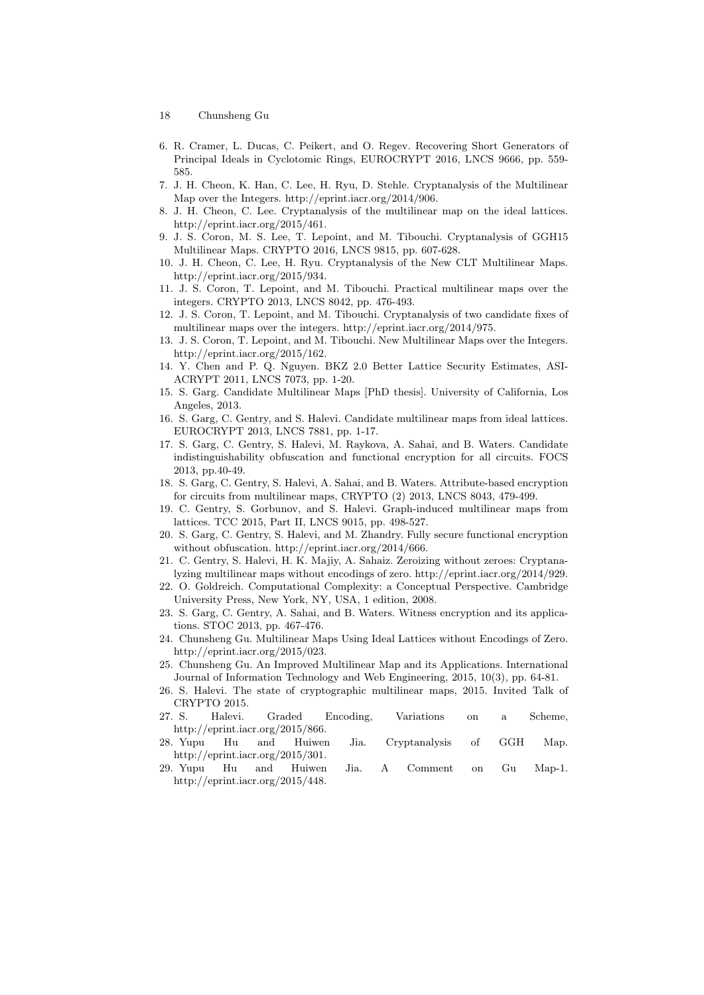- 18 Chunsheng Gu
- <span id="page-17-20"></span>6. R. Cramer, L. Ducas, C. Peikert, and O. Regev. Recovering Short Generators of Principal Ideals in Cyclotomic Rings, EUROCRYPT 2016, LNCS 9666, pp. 559- 585.
- <span id="page-17-6"></span>7. J. H. Cheon, K. Han, C. Lee, H. Ryu, D. Stehle. Cryptanalysis of the Multilinear Map over the Integers. http://eprint.iacr.org/2014/906.
- <span id="page-17-11"></span>8. J. H. Cheon, C. Lee. Cryptanalysis of the multilinear map on the ideal lattices. http://eprint.iacr.org/2015/461.
- <span id="page-17-9"></span>9. J. S. Coron, M. S. Lee, T. Lepoint, and M. Tibouchi. Cryptanalysis of GGH15 Multilinear Maps. CRYPTO 2016, LNCS 9815, pp. 607-628.
- <span id="page-17-10"></span>10. J. H. Cheon, C. Lee, H. Ryu. Cryptanalysis of the New CLT Multilinear Maps. http://eprint.iacr.org/2015/934.
- <span id="page-17-1"></span>11. J. S. Coron, T. Lepoint, and M. Tibouchi. Practical multilinear maps over the integers. CRYPTO 2013, LNCS 8042, pp. 476-493.
- 12. J. S. Coron, T. Lepoint, and M. Tibouchi. Cryptanalysis of two candidate fixes of multilinear maps over the integers. http://eprint.iacr.org/2014/975.
- <span id="page-17-18"></span>13. J. S. Coron, T. Lepoint, and M. Tibouchi. New Multilinear Maps over the Integers. http://eprint.iacr.org/2015/162.
- <span id="page-17-21"></span>14. Y. Chen and P. Q. Nguyen. BKZ 2.0 Better Lattice Security Estimates, ASI-ACRYPT 2011, LNCS 7073, pp. 1-20.
- <span id="page-17-19"></span>15. S. Garg. Candidate Multilinear Maps [PhD thesis]. University of California, Los Angeles, 2013.
- <span id="page-17-0"></span>16. S. Garg, C. Gentry, and S. Halevi. Candidate multilinear maps from ideal lattices. EUROCRYPT 2013, LNCS 7881, pp. 1-17.
- <span id="page-17-5"></span>17. S. Garg, C. Gentry, S. Halevi, M. Raykova, A. Sahai, and B. Waters. Candidate indistinguishability obfuscation and functional encryption for all circuits. FOCS 2013, pp.40-49.
- <span id="page-17-4"></span>18. S. Garg, C. Gentry, S. Halevi, A. Sahai, and B. Waters. Attribute-based encryption for circuits from multilinear maps, CRYPTO (2) 2013, LNCS 8043, 479-499.
- <span id="page-17-2"></span>19. C. Gentry, S. Gorbunov, and S. Halevi. Graph-induced multilinear maps from lattices. TCC 2015, Part II, LNCS 9015, pp. 498-527.
- <span id="page-17-17"></span>20. S. Garg, C. Gentry, S. Halevi, and M. Zhandry. Fully secure functional encryption without obfuscation. http://eprint.iacr.org/2014/666.
- <span id="page-17-7"></span>21. C. Gentry, S. Halevi, H. K. Majiy, A. Sahaiz. Zeroizing without zeroes: Cryptanalyzing multilinear maps without encodings of zero. http://eprint.iacr.org/2014/929.
- <span id="page-17-22"></span>22. O. Goldreich. Computational Complexity: a Conceptual Perspective. Cambridge University Press, New York, NY, USA, 1 edition, 2008.
- <span id="page-17-3"></span>23. S. Garg, C. Gentry, A. Sahai, and B. Waters. Witness encryption and its applications. STOC 2013, pp. 467-476.
- <span id="page-17-14"></span>24. Chunsheng Gu. Multilinear Maps Using Ideal Lattices without Encodings of Zero. http://eprint.iacr.org/2015/023.
- <span id="page-17-16"></span>25. Chunsheng Gu. An Improved Multilinear Map and its Applications. International Journal of Information Technology and Web Engineering, 2015, 10(3), pp. 64-81.
- <span id="page-17-12"></span>26. S. Halevi. The state of cryptographic multilinear maps, 2015. Invited Talk of CRYPTO 2015.
- <span id="page-17-13"></span>27. S. Halevi. Graded Encoding, Variations on a Scheme, http://eprint.iacr.org/2015/866.
- <span id="page-17-8"></span>28. Yupu Hu and Huiwen Jia. Cryptanalysis of GGH Map. http://eprint.iacr.org/2015/301.
- <span id="page-17-15"></span>29. Yupu Hu and Huiwen Jia. A Comment on Gu Map-1. http://eprint.iacr.org/2015/448.